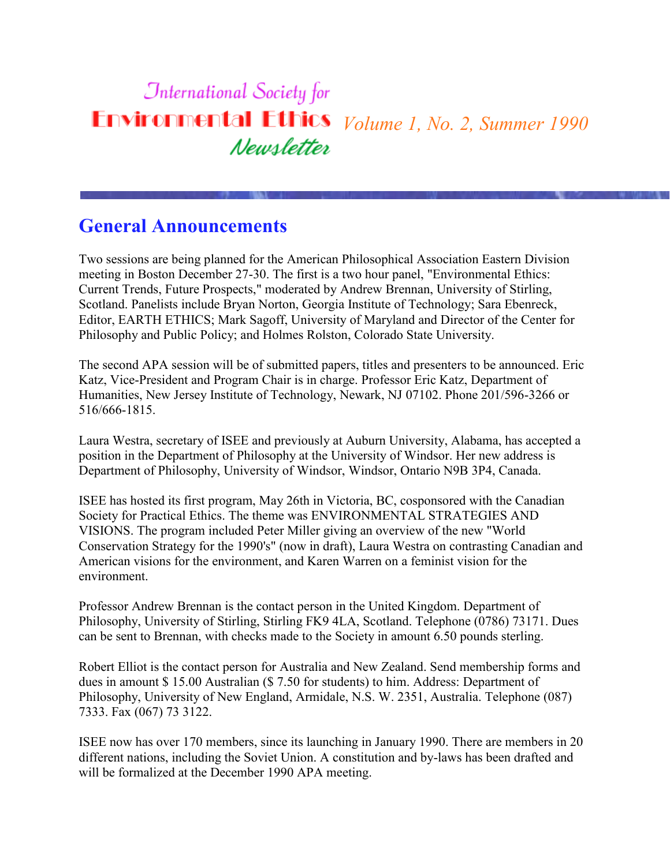# **International Society for Environmental Ethics** *Volume 1, No. 2, Summer 1990* Newsletter

### **General Announcements**

Two sessions are being planned for the American Philosophical Association Eastern Division meeting in Boston December 27-30. The first is a two hour panel, "Environmental Ethics: Current Trends, Future Prospects," moderated by Andrew Brennan, University of Stirling, Scotland. Panelists include Bryan Norton, Georgia Institute of Technology; Sara Ebenreck, Editor, EARTH ETHICS; Mark Sagoff, University of Maryland and Director of the Center for Philosophy and Public Policy; and Holmes Rolston, Colorado State University.

The second APA session will be of submitted papers, titles and presenters to be announced. Eric Katz, Vice-President and Program Chair is in charge. Professor Eric Katz, Department of Humanities, New Jersey Institute of Technology, Newark, NJ 07102. Phone 201/596-3266 or 516/666-1815.

Laura Westra, secretary of ISEE and previously at Auburn University, Alabama, has accepted a position in the Department of Philosophy at the University of Windsor. Her new address is Department of Philosophy, University of Windsor, Windsor, Ontario N9B 3P4, Canada.

ISEE has hosted its first program, May 26th in Victoria, BC, cosponsored with the Canadian Society for Practical Ethics. The theme was ENVIRONMENTAL STRATEGIES AND VISIONS. The program included Peter Miller giving an overview of the new "World Conservation Strategy for the 1990's" (now in draft), Laura Westra on contrasting Canadian and American visions for the environment, and Karen Warren on a feminist vision for the environment.

Professor Andrew Brennan is the contact person in the United Kingdom. Department of Philosophy, University of Stirling, Stirling FK9 4LA, Scotland. Telephone (0786) 73171. Dues can be sent to Brennan, with checks made to the Society in amount 6.50 pounds sterling.

Robert Elliot is the contact person for Australia and New Zealand. Send membership forms and dues in amount \$ 15.00 Australian (\$ 7.50 for students) to him. Address: Department of Philosophy, University of New England, Armidale, N.S. W. 2351, Australia. Telephone (087) 7333. Fax (067) 73 3122.

ISEE now has over 170 members, since its launching in January 1990. There are members in 20 different nations, including the Soviet Union. A constitution and by-laws has been drafted and will be formalized at the December 1990 APA meeting.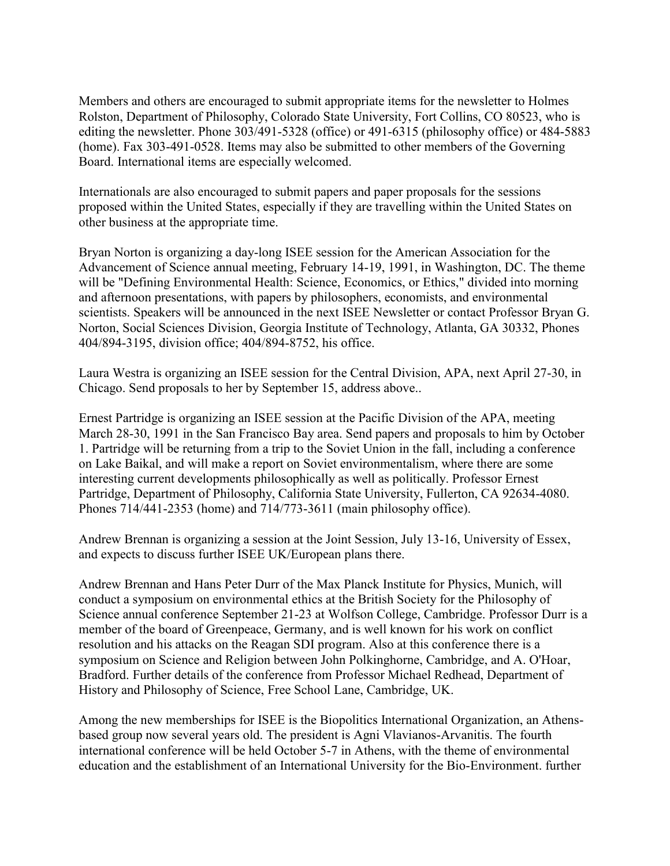Members and others are encouraged to submit appropriate items for the newsletter to Holmes Rolston, Department of Philosophy, Colorado State University, Fort Collins, CO 80523, who is editing the newsletter. Phone 303/491-5328 (office) or 491-6315 (philosophy office) or 484-5883 (home). Fax 303-491-0528. Items may also be submitted to other members of the Governing Board. International items are especially welcomed.

Internationals are also encouraged to submit papers and paper proposals for the sessions proposed within the United States, especially if they are travelling within the United States on other business at the appropriate time.

Bryan Norton is organizing a day-long ISEE session for the American Association for the Advancement of Science annual meeting, February 14-19, 1991, in Washington, DC. The theme will be "Defining Environmental Health: Science, Economics, or Ethics," divided into morning and afternoon presentations, with papers by philosophers, economists, and environmental scientists. Speakers will be announced in the next ISEE Newsletter or contact Professor Bryan G. Norton, Social Sciences Division, Georgia Institute of Technology, Atlanta, GA 30332, Phones 404/894-3195, division office; 404/894-8752, his office.

Laura Westra is organizing an ISEE session for the Central Division, APA, next April 27-30, in Chicago. Send proposals to her by September 15, address above..

Ernest Partridge is organizing an ISEE session at the Pacific Division of the APA, meeting March 28-30, 1991 in the San Francisco Bay area. Send papers and proposals to him by October 1. Partridge will be returning from a trip to the Soviet Union in the fall, including a conference on Lake Baikal, and will make a report on Soviet environmentalism, where there are some interesting current developments philosophically as well as politically. Professor Ernest Partridge, Department of Philosophy, California State University, Fullerton, CA 92634-4080. Phones 714/441-2353 (home) and 714/773-3611 (main philosophy office).

Andrew Brennan is organizing a session at the Joint Session, July 13-16, University of Essex, and expects to discuss further ISEE UK/European plans there.

Andrew Brennan and Hans Peter Durr of the Max Planck Institute for Physics, Munich, will conduct a symposium on environmental ethics at the British Society for the Philosophy of Science annual conference September 21-23 at Wolfson College, Cambridge. Professor Durr is a member of the board of Greenpeace, Germany, and is well known for his work on conflict resolution and his attacks on the Reagan SDI program. Also at this conference there is a symposium on Science and Religion between John Polkinghorne, Cambridge, and A. O'Hoar, Bradford. Further details of the conference from Professor Michael Redhead, Department of History and Philosophy of Science, Free School Lane, Cambridge, UK.

Among the new memberships for ISEE is the Biopolitics International Organization, an Athensbased group now several years old. The president is Agni Vlavianos-Arvanitis. The fourth international conference will be held October 5-7 in Athens, with the theme of environmental education and the establishment of an International University for the Bio-Environment. further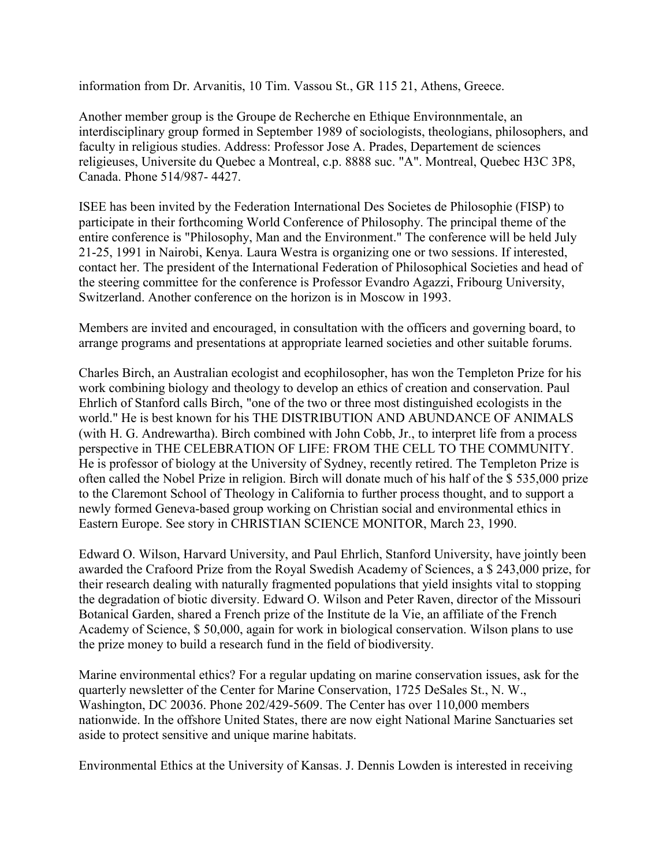information from Dr. Arvanitis, 10 Tim. Vassou St., GR 115 21, Athens, Greece.

Another member group is the Groupe de Recherche en Ethique Environnmentale, an interdisciplinary group formed in September 1989 of sociologists, theologians, philosophers, and faculty in religious studies. Address: Professor Jose A. Prades, Departement de sciences religieuses, Universite du Quebec a Montreal, c.p. 8888 suc. "A". Montreal, Quebec H3C 3P8, Canada. Phone 514/987- 4427.

ISEE has been invited by the Federation International Des Societes de Philosophie (FISP) to participate in their forthcoming World Conference of Philosophy. The principal theme of the entire conference is "Philosophy, Man and the Environment." The conference will be held July 21-25, 1991 in Nairobi, Kenya. Laura Westra is organizing one or two sessions. If interested, contact her. The president of the International Federation of Philosophical Societies and head of the steering committee for the conference is Professor Evandro Agazzi, Fribourg University, Switzerland. Another conference on the horizon is in Moscow in 1993.

Members are invited and encouraged, in consultation with the officers and governing board, to arrange programs and presentations at appropriate learned societies and other suitable forums.

Charles Birch, an Australian ecologist and ecophilosopher, has won the Templeton Prize for his work combining biology and theology to develop an ethics of creation and conservation. Paul Ehrlich of Stanford calls Birch, "one of the two or three most distinguished ecologists in the world." He is best known for his THE DISTRIBUTION AND ABUNDANCE OF ANIMALS (with H. G. Andrewartha). Birch combined with John Cobb, Jr., to interpret life from a process perspective in THE CELEBRATION OF LIFE: FROM THE CELL TO THE COMMUNITY. He is professor of biology at the University of Sydney, recently retired. The Templeton Prize is often called the Nobel Prize in religion. Birch will donate much of his half of the \$ 535,000 prize to the Claremont School of Theology in California to further process thought, and to support a newly formed Geneva-based group working on Christian social and environmental ethics in Eastern Europe. See story in CHRISTIAN SCIENCE MONITOR, March 23, 1990.

Edward O. Wilson, Harvard University, and Paul Ehrlich, Stanford University, have jointly been awarded the Crafoord Prize from the Royal Swedish Academy of Sciences, a \$ 243,000 prize, for their research dealing with naturally fragmented populations that yield insights vital to stopping the degradation of biotic diversity. Edward O. Wilson and Peter Raven, director of the Missouri Botanical Garden, shared a French prize of the Institute de la Vie, an affiliate of the French Academy of Science, \$ 50,000, again for work in biological conservation. Wilson plans to use the prize money to build a research fund in the field of biodiversity.

Marine environmental ethics? For a regular updating on marine conservation issues, ask for the quarterly newsletter of the Center for Marine Conservation, 1725 DeSales St., N. W., Washington, DC 20036. Phone 202/429-5609. The Center has over 110,000 members nationwide. In the offshore United States, there are now eight National Marine Sanctuaries set aside to protect sensitive and unique marine habitats.

Environmental Ethics at the University of Kansas. J. Dennis Lowden is interested in receiving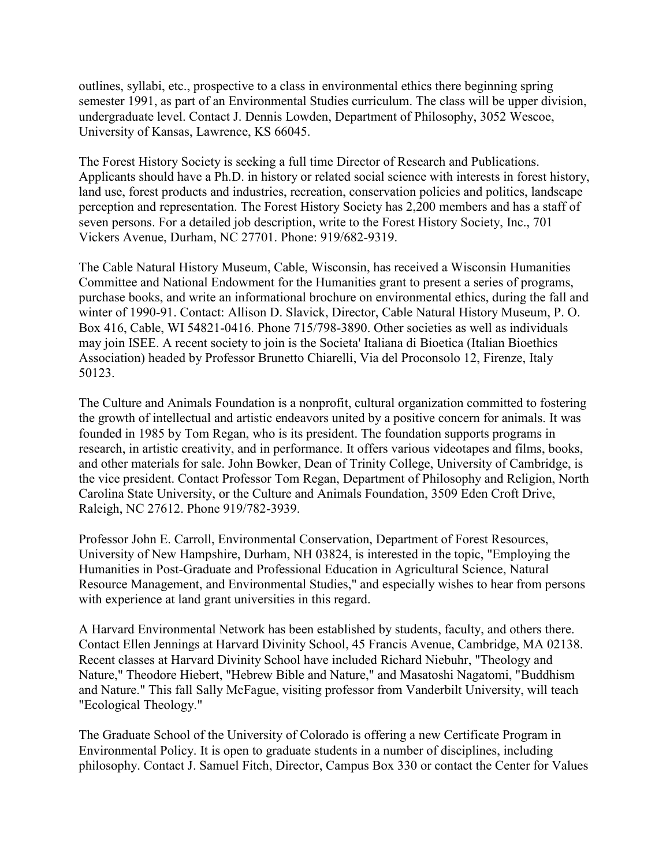outlines, syllabi, etc., prospective to a class in environmental ethics there beginning spring semester 1991, as part of an Environmental Studies curriculum. The class will be upper division, undergraduate level. Contact J. Dennis Lowden, Department of Philosophy, 3052 Wescoe, University of Kansas, Lawrence, KS 66045.

The Forest History Society is seeking a full time Director of Research and Publications. Applicants should have a Ph.D. in history or related social science with interests in forest history, land use, forest products and industries, recreation, conservation policies and politics, landscape perception and representation. The Forest History Society has 2,200 members and has a staff of seven persons. For a detailed job description, write to the Forest History Society, Inc., 701 Vickers Avenue, Durham, NC 27701. Phone: 919/682-9319.

The Cable Natural History Museum, Cable, Wisconsin, has received a Wisconsin Humanities Committee and National Endowment for the Humanities grant to present a series of programs, purchase books, and write an informational brochure on environmental ethics, during the fall and winter of 1990-91. Contact: Allison D. Slavick, Director, Cable Natural History Museum, P. O. Box 416, Cable, WI 54821-0416. Phone 715/798-3890. Other societies as well as individuals may join ISEE. A recent society to join is the Societa' Italiana di Bioetica (Italian Bioethics Association) headed by Professor Brunetto Chiarelli, Via del Proconsolo 12, Firenze, Italy 50123.

The Culture and Animals Foundation is a nonprofit, cultural organization committed to fostering the growth of intellectual and artistic endeavors united by a positive concern for animals. It was founded in 1985 by Tom Regan, who is its president. The foundation supports programs in research, in artistic creativity, and in performance. It offers various videotapes and films, books, and other materials for sale. John Bowker, Dean of Trinity College, University of Cambridge, is the vice president. Contact Professor Tom Regan, Department of Philosophy and Religion, North Carolina State University, or the Culture and Animals Foundation, 3509 Eden Croft Drive, Raleigh, NC 27612. Phone 919/782-3939.

Professor John E. Carroll, Environmental Conservation, Department of Forest Resources, University of New Hampshire, Durham, NH 03824, is interested in the topic, "Employing the Humanities in Post-Graduate and Professional Education in Agricultural Science, Natural Resource Management, and Environmental Studies," and especially wishes to hear from persons with experience at land grant universities in this regard.

A Harvard Environmental Network has been established by students, faculty, and others there. Contact Ellen Jennings at Harvard Divinity School, 45 Francis Avenue, Cambridge, MA 02138. Recent classes at Harvard Divinity School have included Richard Niebuhr, "Theology and Nature," Theodore Hiebert, "Hebrew Bible and Nature," and Masatoshi Nagatomi, "Buddhism and Nature." This fall Sally McFague, visiting professor from Vanderbilt University, will teach "Ecological Theology."

The Graduate School of the University of Colorado is offering a new Certificate Program in Environmental Policy. It is open to graduate students in a number of disciplines, including philosophy. Contact J. Samuel Fitch, Director, Campus Box 330 or contact the Center for Values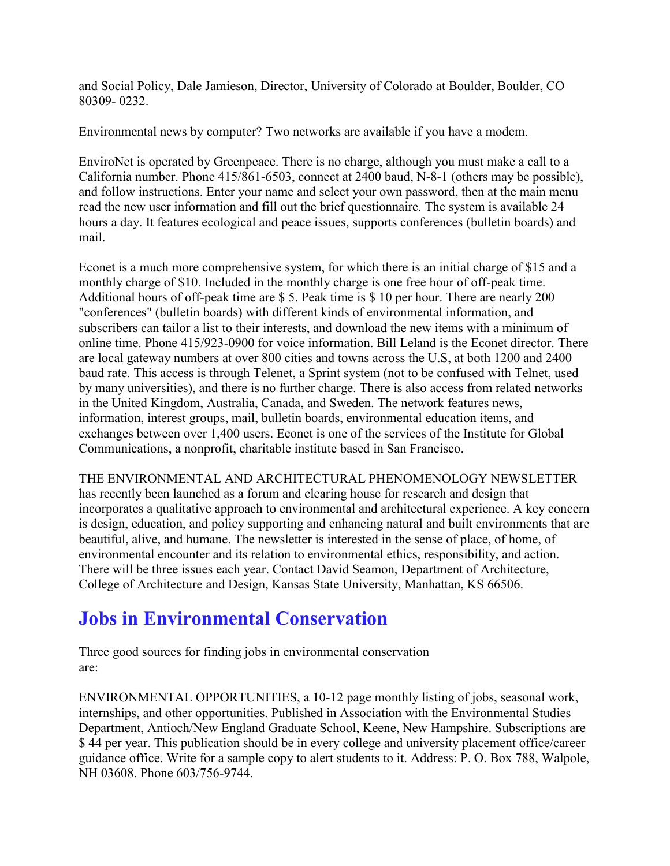and Social Policy, Dale Jamieson, Director, University of Colorado at Boulder, Boulder, CO 80309- 0232.

Environmental news by computer? Two networks are available if you have a modem.

EnviroNet is operated by Greenpeace. There is no charge, although you must make a call to a California number. Phone 415/861-6503, connect at 2400 baud, N-8-1 (others may be possible), and follow instructions. Enter your name and select your own password, then at the main menu read the new user information and fill out the brief questionnaire. The system is available 24 hours a day. It features ecological and peace issues, supports conferences (bulletin boards) and mail.

Econet is a much more comprehensive system, for which there is an initial charge of \$15 and a monthly charge of \$10. Included in the monthly charge is one free hour of off-peak time. Additional hours of off-peak time are \$ 5. Peak time is \$ 10 per hour. There are nearly 200 "conferences" (bulletin boards) with different kinds of environmental information, and subscribers can tailor a list to their interests, and download the new items with a minimum of online time. Phone 415/923-0900 for voice information. Bill Leland is the Econet director. There are local gateway numbers at over 800 cities and towns across the U.S, at both 1200 and 2400 baud rate. This access is through Telenet, a Sprint system (not to be confused with Telnet, used by many universities), and there is no further charge. There is also access from related networks in the United Kingdom, Australia, Canada, and Sweden. The network features news, information, interest groups, mail, bulletin boards, environmental education items, and exchanges between over 1,400 users. Econet is one of the services of the Institute for Global Communications, a nonprofit, charitable institute based in San Francisco.

THE ENVIRONMENTAL AND ARCHITECTURAL PHENOMENOLOGY NEWSLETTER has recently been launched as a forum and clearing house for research and design that incorporates a qualitative approach to environmental and architectural experience. A key concern is design, education, and policy supporting and enhancing natural and built environments that are beautiful, alive, and humane. The newsletter is interested in the sense of place, of home, of environmental encounter and its relation to environmental ethics, responsibility, and action. There will be three issues each year. Contact David Seamon, Department of Architecture, College of Architecture and Design, Kansas State University, Manhattan, KS 66506.

### **Jobs in Environmental Conservation**

Three good sources for finding jobs in environmental conservation are:

ENVIRONMENTAL OPPORTUNITIES, a 10-12 page monthly listing of jobs, seasonal work, internships, and other opportunities. Published in Association with the Environmental Studies Department, Antioch/New England Graduate School, Keene, New Hampshire. Subscriptions are \$ 44 per year. This publication should be in every college and university placement office/career guidance office. Write for a sample copy to alert students to it. Address: P. O. Box 788, Walpole, NH 03608. Phone 603/756-9744.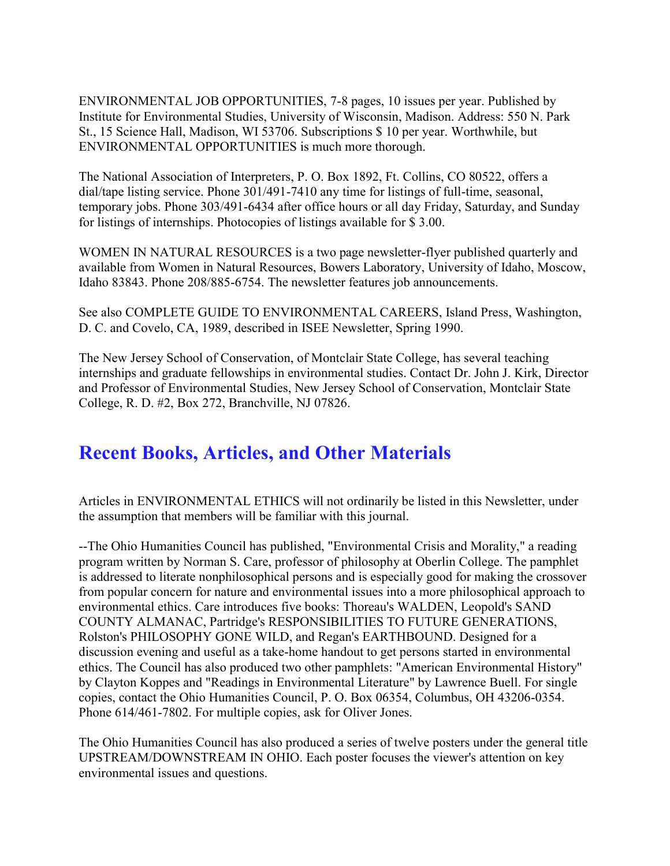ENVIRONMENTAL JOB OPPORTUNITIES, 7-8 pages, 10 issues per year. Published by Institute for Environmental Studies, University of Wisconsin, Madison. Address: 550 N. Park St., 15 Science Hall, Madison, WI 53706. Subscriptions \$ 10 per year. Worthwhile, but ENVIRONMENTAL OPPORTUNITIES is much more thorough.

The National Association of Interpreters, P. O. Box 1892, Ft. Collins, CO 80522, offers a dial/tape listing service. Phone 301/491-7410 any time for listings of full-time, seasonal, temporary jobs. Phone 303/491-6434 after office hours or all day Friday, Saturday, and Sunday for listings of internships. Photocopies of listings available for \$ 3.00.

WOMEN IN NATURAL RESOURCES is a two page newsletter-flyer published quarterly and available from Women in Natural Resources, Bowers Laboratory, University of Idaho, Moscow, Idaho 83843. Phone 208/885-6754. The newsletter features job announcements.

See also COMPLETE GUIDE TO ENVIRONMENTAL CAREERS, Island Press, Washington, D. C. and Covelo, CA, 1989, described in ISEE Newsletter, Spring 1990.

The New Jersey School of Conservation, of Montclair State College, has several teaching internships and graduate fellowships in environmental studies. Contact Dr. John J. Kirk, Director and Professor of Environmental Studies, New Jersey School of Conservation, Montclair State College, R. D. #2, Box 272, Branchville, NJ 07826.

#### **Recent Books, Articles, and Other Materials**

Articles in ENVIRONMENTAL ETHICS will not ordinarily be listed in this Newsletter, under the assumption that members will be familiar with this journal.

--The Ohio Humanities Council has published, "Environmental Crisis and Morality," a reading program written by Norman S. Care, professor of philosophy at Oberlin College. The pamphlet is addressed to literate nonphilosophical persons and is especially good for making the crossover from popular concern for nature and environmental issues into a more philosophical approach to environmental ethics. Care introduces five books: Thoreau's WALDEN, Leopold's SAND COUNTY ALMANAC, Partridge's RESPONSIBILITIES TO FUTURE GENERATIONS, Rolston's PHILOSOPHY GONE WILD, and Regan's EARTHBOUND. Designed for a discussion evening and useful as a take-home handout to get persons started in environmental ethics. The Council has also produced two other pamphlets: "American Environmental History" by Clayton Koppes and "Readings in Environmental Literature" by Lawrence Buell. For single copies, contact the Ohio Humanities Council, P. O. Box 06354, Columbus, OH 43206-0354. Phone 614/461-7802. For multiple copies, ask for Oliver Jones.

The Ohio Humanities Council has also produced a series of twelve posters under the general title UPSTREAM/DOWNSTREAM IN OHIO. Each poster focuses the viewer's attention on key environmental issues and questions.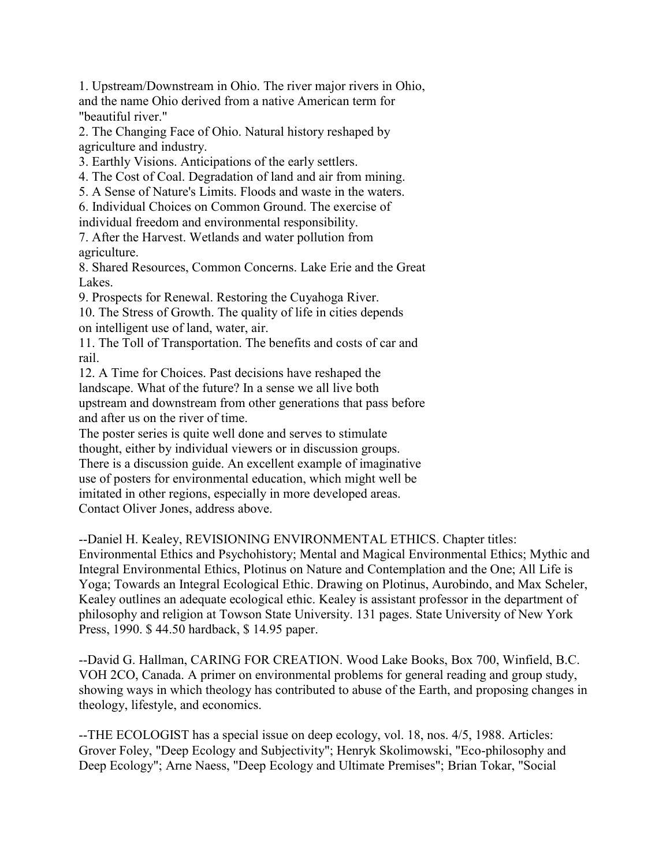1. Upstream/Downstream in Ohio. The river major rivers in Ohio, and the name Ohio derived from a native American term for "beautiful river."

2. The Changing Face of Ohio. Natural history reshaped by agriculture and industry.

3. Earthly Visions. Anticipations of the early settlers.

4. The Cost of Coal. Degradation of land and air from mining.

5. A Sense of Nature's Limits. Floods and waste in the waters.

6. Individual Choices on Common Ground. The exercise of individual freedom and environmental responsibility.

7. After the Harvest. Wetlands and water pollution from agriculture.

8. Shared Resources, Common Concerns. Lake Erie and the Great Lakes.

9. Prospects for Renewal. Restoring the Cuyahoga River.

10. The Stress of Growth. The quality of life in cities depends on intelligent use of land, water, air.

11. The Toll of Transportation. The benefits and costs of car and rail.

12. A Time for Choices. Past decisions have reshaped the landscape. What of the future? In a sense we all live both upstream and downstream from other generations that pass before and after us on the river of time.

The poster series is quite well done and serves to stimulate thought, either by individual viewers or in discussion groups. There is a discussion guide. An excellent example of imaginative use of posters for environmental education, which might well be imitated in other regions, especially in more developed areas. Contact Oliver Jones, address above.

--Daniel H. Kealey, REVISIONING ENVIRONMENTAL ETHICS. Chapter titles:

Environmental Ethics and Psychohistory; Mental and Magical Environmental Ethics; Mythic and Integral Environmental Ethics, Plotinus on Nature and Contemplation and the One; All Life is Yoga; Towards an Integral Ecological Ethic. Drawing on Plotinus, Aurobindo, and Max Scheler, Kealey outlines an adequate ecological ethic. Kealey is assistant professor in the department of philosophy and religion at Towson State University. 131 pages. State University of New York Press, 1990. \$ 44.50 hardback, \$ 14.95 paper.

--David G. Hallman, CARING FOR CREATION. Wood Lake Books, Box 700, Winfield, B.C. VOH 2CO, Canada. A primer on environmental problems for general reading and group study, showing ways in which theology has contributed to abuse of the Earth, and proposing changes in theology, lifestyle, and economics.

--THE ECOLOGIST has a special issue on deep ecology, vol. 18, nos. 4/5, 1988. Articles: Grover Foley, "Deep Ecology and Subjectivity"; Henryk Skolimowski, "Eco-philosophy and Deep Ecology"; Arne Naess, "Deep Ecology and Ultimate Premises"; Brian Tokar, "Social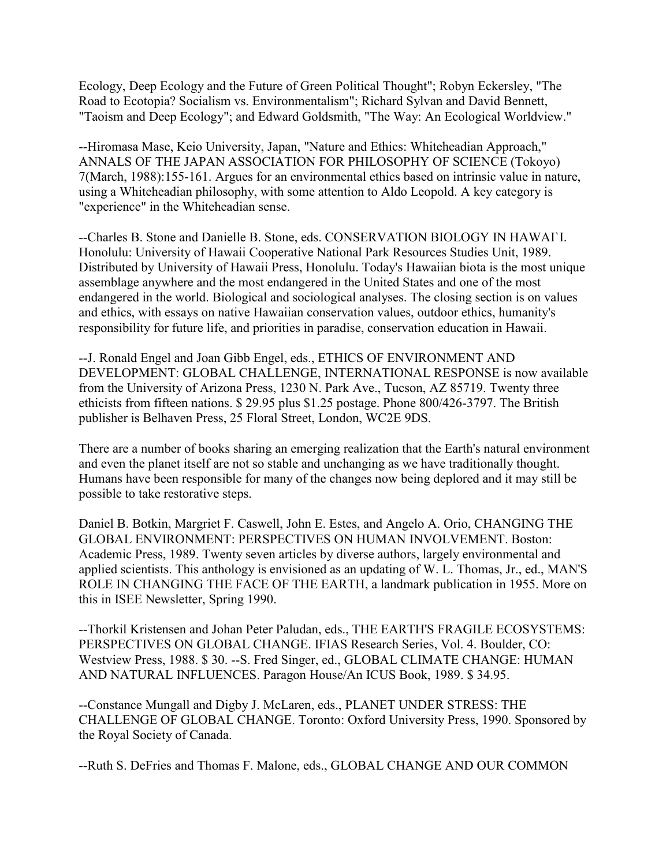Ecology, Deep Ecology and the Future of Green Political Thought"; Robyn Eckersley, "The Road to Ecotopia? Socialism vs. Environmentalism"; Richard Sylvan and David Bennett, "Taoism and Deep Ecology"; and Edward Goldsmith, "The Way: An Ecological Worldview."

--Hiromasa Mase, Keio University, Japan, "Nature and Ethics: Whiteheadian Approach," ANNALS OF THE JAPAN ASSOCIATION FOR PHILOSOPHY OF SCIENCE (Tokoyo) 7(March, 1988):155-161. Argues for an environmental ethics based on intrinsic value in nature, using a Whiteheadian philosophy, with some attention to Aldo Leopold. A key category is "experience" in the Whiteheadian sense.

--Charles B. Stone and Danielle B. Stone, eds. CONSERVATION BIOLOGY IN HAWAI`I. Honolulu: University of Hawaii Cooperative National Park Resources Studies Unit, 1989. Distributed by University of Hawaii Press, Honolulu. Today's Hawaiian biota is the most unique assemblage anywhere and the most endangered in the United States and one of the most endangered in the world. Biological and sociological analyses. The closing section is on values and ethics, with essays on native Hawaiian conservation values, outdoor ethics, humanity's responsibility for future life, and priorities in paradise, conservation education in Hawaii.

--J. Ronald Engel and Joan Gibb Engel, eds., ETHICS OF ENVIRONMENT AND DEVELOPMENT: GLOBAL CHALLENGE, INTERNATIONAL RESPONSE is now available from the University of Arizona Press, 1230 N. Park Ave., Tucson, AZ 85719. Twenty three ethicists from fifteen nations. \$ 29.95 plus \$1.25 postage. Phone 800/426-3797. The British publisher is Belhaven Press, 25 Floral Street, London, WC2E 9DS.

There are a number of books sharing an emerging realization that the Earth's natural environment and even the planet itself are not so stable and unchanging as we have traditionally thought. Humans have been responsible for many of the changes now being deplored and it may still be possible to take restorative steps.

Daniel B. Botkin, Margriet F. Caswell, John E. Estes, and Angelo A. Orio, CHANGING THE GLOBAL ENVIRONMENT: PERSPECTIVES ON HUMAN INVOLVEMENT. Boston: Academic Press, 1989. Twenty seven articles by diverse authors, largely environmental and applied scientists. This anthology is envisioned as an updating of W. L. Thomas, Jr., ed., MAN'S ROLE IN CHANGING THE FACE OF THE EARTH, a landmark publication in 1955. More on this in ISEE Newsletter, Spring 1990.

--Thorkil Kristensen and Johan Peter Paludan, eds., THE EARTH'S FRAGILE ECOSYSTEMS: PERSPECTIVES ON GLOBAL CHANGE. IFIAS Research Series, Vol. 4. Boulder, CO: Westview Press, 1988. \$ 30. --S. Fred Singer, ed., GLOBAL CLIMATE CHANGE: HUMAN AND NATURAL INFLUENCES. Paragon House/An ICUS Book, 1989. \$ 34.95.

--Constance Mungall and Digby J. McLaren, eds., PLANET UNDER STRESS: THE CHALLENGE OF GLOBAL CHANGE. Toronto: Oxford University Press, 1990. Sponsored by the Royal Society of Canada.

--Ruth S. DeFries and Thomas F. Malone, eds., GLOBAL CHANGE AND OUR COMMON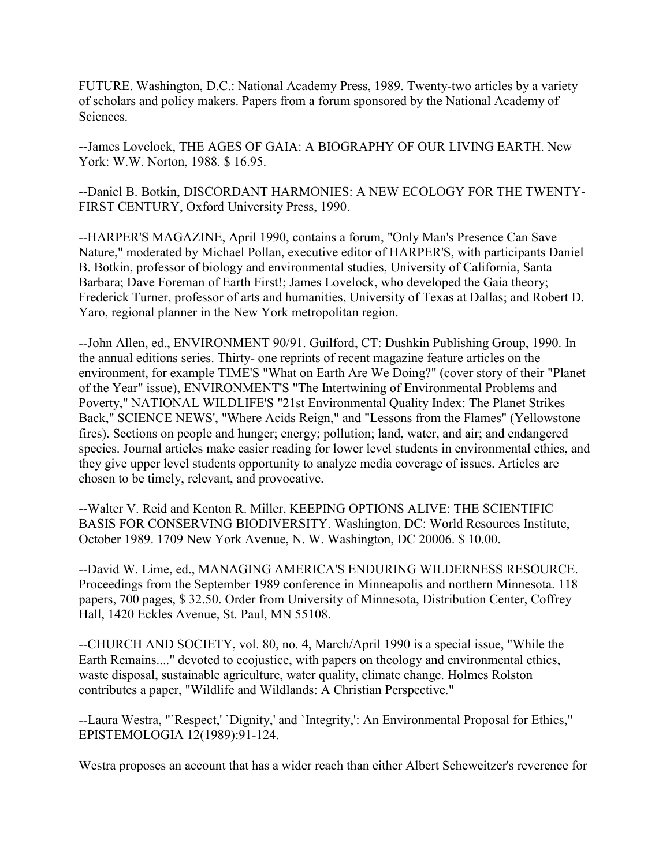FUTURE. Washington, D.C.: National Academy Press, 1989. Twenty-two articles by a variety of scholars and policy makers. Papers from a forum sponsored by the National Academy of **Sciences** 

--James Lovelock, THE AGES OF GAIA: A BIOGRAPHY OF OUR LIVING EARTH. New York: W.W. Norton, 1988. \$ 16.95.

--Daniel B. Botkin, DISCORDANT HARMONIES: A NEW ECOLOGY FOR THE TWENTY-FIRST CENTURY, Oxford University Press, 1990.

--HARPER'S MAGAZINE, April 1990, contains a forum, "Only Man's Presence Can Save Nature," moderated by Michael Pollan, executive editor of HARPER'S, with participants Daniel B. Botkin, professor of biology and environmental studies, University of California, Santa Barbara; Dave Foreman of Earth First!; James Lovelock, who developed the Gaia theory; Frederick Turner, professor of arts and humanities, University of Texas at Dallas; and Robert D. Yaro, regional planner in the New York metropolitan region.

--John Allen, ed., ENVIRONMENT 90/91. Guilford, CT: Dushkin Publishing Group, 1990. In the annual editions series. Thirty- one reprints of recent magazine feature articles on the environment, for example TIME'S "What on Earth Are We Doing?" (cover story of their "Planet of the Year" issue), ENVIRONMENT'S "The Intertwining of Environmental Problems and Poverty," NATIONAL WILDLIFE'S "21st Environmental Quality Index: The Planet Strikes Back," SCIENCE NEWS', "Where Acids Reign," and "Lessons from the Flames" (Yellowstone fires). Sections on people and hunger; energy; pollution; land, water, and air; and endangered species. Journal articles make easier reading for lower level students in environmental ethics, and they give upper level students opportunity to analyze media coverage of issues. Articles are chosen to be timely, relevant, and provocative.

--Walter V. Reid and Kenton R. Miller, KEEPING OPTIONS ALIVE: THE SCIENTIFIC BASIS FOR CONSERVING BIODIVERSITY. Washington, DC: World Resources Institute, October 1989. 1709 New York Avenue, N. W. Washington, DC 20006. \$ 10.00.

--David W. Lime, ed., MANAGING AMERICA'S ENDURING WILDERNESS RESOURCE. Proceedings from the September 1989 conference in Minneapolis and northern Minnesota. 118 papers, 700 pages, \$ 32.50. Order from University of Minnesota, Distribution Center, Coffrey Hall, 1420 Eckles Avenue, St. Paul, MN 55108.

--CHURCH AND SOCIETY, vol. 80, no. 4, March/April 1990 is a special issue, "While the Earth Remains...." devoted to ecojustice, with papers on theology and environmental ethics, waste disposal, sustainable agriculture, water quality, climate change. Holmes Rolston contributes a paper, "Wildlife and Wildlands: A Christian Perspective."

--Laura Westra, "`Respect,' `Dignity,' and `Integrity,': An Environmental Proposal for Ethics," EPISTEMOLOGIA 12(1989):91-124.

Westra proposes an account that has a wider reach than either Albert Scheweitzer's reverence for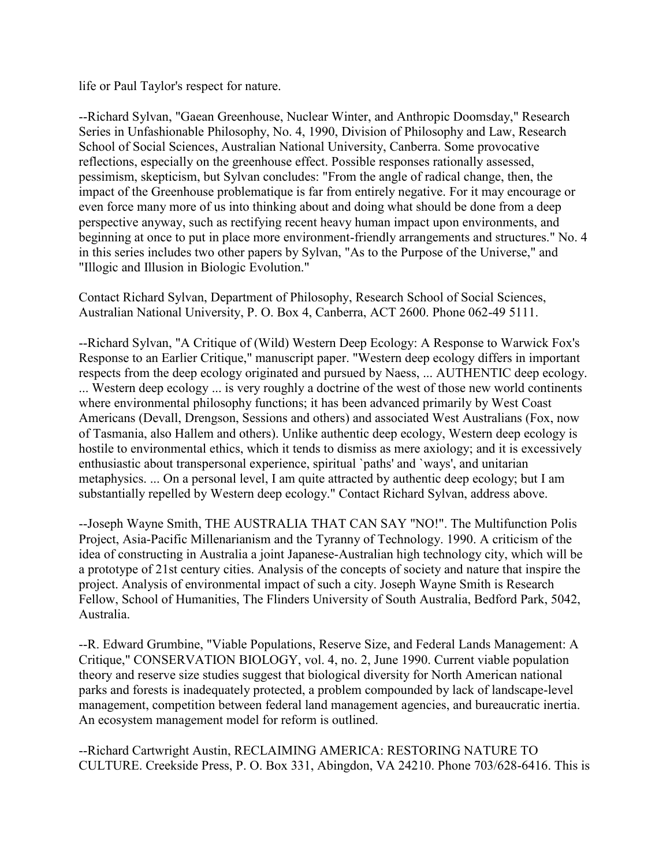life or Paul Taylor's respect for nature.

--Richard Sylvan, "Gaean Greenhouse, Nuclear Winter, and Anthropic Doomsday," Research Series in Unfashionable Philosophy, No. 4, 1990, Division of Philosophy and Law, Research School of Social Sciences, Australian National University, Canberra. Some provocative reflections, especially on the greenhouse effect. Possible responses rationally assessed, pessimism, skepticism, but Sylvan concludes: "From the angle of radical change, then, the impact of the Greenhouse problematique is far from entirely negative. For it may encourage or even force many more of us into thinking about and doing what should be done from a deep perspective anyway, such as rectifying recent heavy human impact upon environments, and beginning at once to put in place more environment-friendly arrangements and structures." No. 4 in this series includes two other papers by Sylvan, "As to the Purpose of the Universe," and "Illogic and Illusion in Biologic Evolution."

Contact Richard Sylvan, Department of Philosophy, Research School of Social Sciences, Australian National University, P. O. Box 4, Canberra, ACT 2600. Phone 062-49 5111.

--Richard Sylvan, "A Critique of (Wild) Western Deep Ecology: A Response to Warwick Fox's Response to an Earlier Critique," manuscript paper. "Western deep ecology differs in important respects from the deep ecology originated and pursued by Naess, ... AUTHENTIC deep ecology. ... Western deep ecology ... is very roughly a doctrine of the west of those new world continents where environmental philosophy functions; it has been advanced primarily by West Coast Americans (Devall, Drengson, Sessions and others) and associated West Australians (Fox, now of Tasmania, also Hallem and others). Unlike authentic deep ecology, Western deep ecology is hostile to environmental ethics, which it tends to dismiss as mere axiology; and it is excessively enthusiastic about transpersonal experience, spiritual `paths' and `ways', and unitarian metaphysics. ... On a personal level, I am quite attracted by authentic deep ecology; but I am substantially repelled by Western deep ecology." Contact Richard Sylvan, address above.

--Joseph Wayne Smith, THE AUSTRALIA THAT CAN SAY "NO!". The Multifunction Polis Project, Asia-Pacific Millenarianism and the Tyranny of Technology. 1990. A criticism of the idea of constructing in Australia a joint Japanese-Australian high technology city, which will be a prototype of 21st century cities. Analysis of the concepts of society and nature that inspire the project. Analysis of environmental impact of such a city. Joseph Wayne Smith is Research Fellow, School of Humanities, The Flinders University of South Australia, Bedford Park, 5042, Australia.

--R. Edward Grumbine, "Viable Populations, Reserve Size, and Federal Lands Management: A Critique," CONSERVATION BIOLOGY, vol. 4, no. 2, June 1990. Current viable population theory and reserve size studies suggest that biological diversity for North American national parks and forests is inadequately protected, a problem compounded by lack of landscape-level management, competition between federal land management agencies, and bureaucratic inertia. An ecosystem management model for reform is outlined.

--Richard Cartwright Austin, RECLAIMING AMERICA: RESTORING NATURE TO CULTURE. Creekside Press, P. O. Box 331, Abingdon, VA 24210. Phone 703/628-6416. This is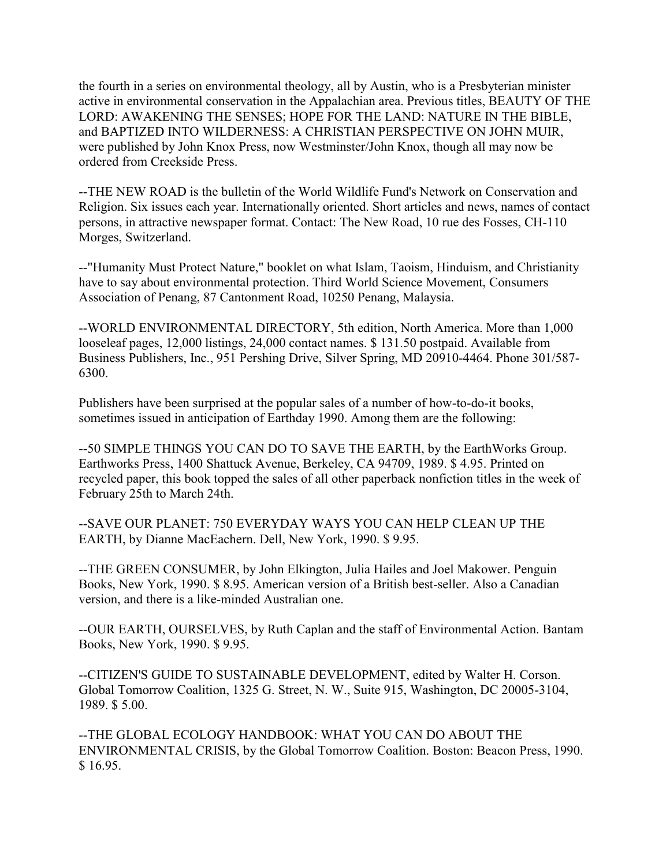the fourth in a series on environmental theology, all by Austin, who is a Presbyterian minister active in environmental conservation in the Appalachian area. Previous titles, BEAUTY OF THE LORD: AWAKENING THE SENSES; HOPE FOR THE LAND: NATURE IN THE BIBLE, and BAPTIZED INTO WILDERNESS: A CHRISTIAN PERSPECTIVE ON JOHN MUIR, were published by John Knox Press, now Westminster/John Knox, though all may now be ordered from Creekside Press.

--THE NEW ROAD is the bulletin of the World Wildlife Fund's Network on Conservation and Religion. Six issues each year. Internationally oriented. Short articles and news, names of contact persons, in attractive newspaper format. Contact: The New Road, 10 rue des Fosses, CH-110 Morges, Switzerland.

--"Humanity Must Protect Nature," booklet on what Islam, Taoism, Hinduism, and Christianity have to say about environmental protection. Third World Science Movement, Consumers Association of Penang, 87 Cantonment Road, 10250 Penang, Malaysia.

--WORLD ENVIRONMENTAL DIRECTORY, 5th edition, North America. More than 1,000 looseleaf pages, 12,000 listings, 24,000 contact names. \$ 131.50 postpaid. Available from Business Publishers, Inc., 951 Pershing Drive, Silver Spring, MD 20910-4464. Phone 301/587- 6300.

Publishers have been surprised at the popular sales of a number of how-to-do-it books, sometimes issued in anticipation of Earthday 1990. Among them are the following:

--50 SIMPLE THINGS YOU CAN DO TO SAVE THE EARTH, by the EarthWorks Group. Earthworks Press, 1400 Shattuck Avenue, Berkeley, CA 94709, 1989. \$ 4.95. Printed on recycled paper, this book topped the sales of all other paperback nonfiction titles in the week of February 25th to March 24th.

--SAVE OUR PLANET: 750 EVERYDAY WAYS YOU CAN HELP CLEAN UP THE EARTH, by Dianne MacEachern. Dell, New York, 1990. \$ 9.95.

--THE GREEN CONSUMER, by John Elkington, Julia Hailes and Joel Makower. Penguin Books, New York, 1990. \$ 8.95. American version of a British best-seller. Also a Canadian version, and there is a like-minded Australian one.

--OUR EARTH, OURSELVES, by Ruth Caplan and the staff of Environmental Action. Bantam Books, New York, 1990. \$ 9.95.

--CITIZEN'S GUIDE TO SUSTAINABLE DEVELOPMENT, edited by Walter H. Corson. Global Tomorrow Coalition, 1325 G. Street, N. W., Suite 915, Washington, DC 20005-3104, 1989. \$ 5.00.

--THE GLOBAL ECOLOGY HANDBOOK: WHAT YOU CAN DO ABOUT THE ENVIRONMENTAL CRISIS, by the Global Tomorrow Coalition. Boston: Beacon Press, 1990. \$ 16.95.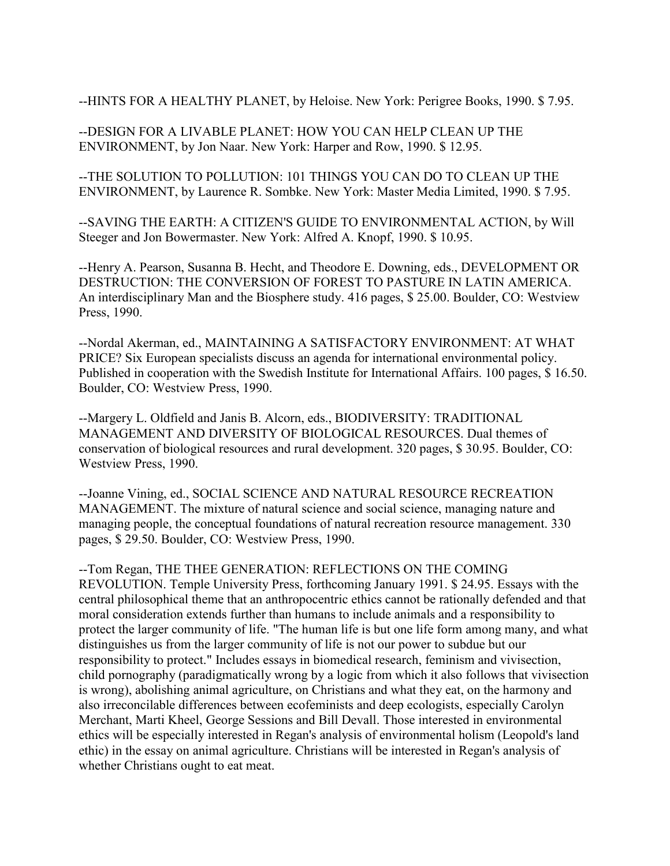--HINTS FOR A HEALTHY PLANET, by Heloise. New York: Perigree Books, 1990. \$ 7.95.

--DESIGN FOR A LIVABLE PLANET: HOW YOU CAN HELP CLEAN UP THE ENVIRONMENT, by Jon Naar. New York: Harper and Row, 1990. \$ 12.95.

--THE SOLUTION TO POLLUTION: 101 THINGS YOU CAN DO TO CLEAN UP THE ENVIRONMENT, by Laurence R. Sombke. New York: Master Media Limited, 1990. \$ 7.95.

--SAVING THE EARTH: A CITIZEN'S GUIDE TO ENVIRONMENTAL ACTION, by Will Steeger and Jon Bowermaster. New York: Alfred A. Knopf, 1990. \$ 10.95.

--Henry A. Pearson, Susanna B. Hecht, and Theodore E. Downing, eds., DEVELOPMENT OR DESTRUCTION: THE CONVERSION OF FOREST TO PASTURE IN LATIN AMERICA. An interdisciplinary Man and the Biosphere study. 416 pages, \$ 25.00. Boulder, CO: Westview Press, 1990.

--Nordal Akerman, ed., MAINTAINING A SATISFACTORY ENVIRONMENT: AT WHAT PRICE? Six European specialists discuss an agenda for international environmental policy. Published in cooperation with the Swedish Institute for International Affairs. 100 pages, \$ 16.50. Boulder, CO: Westview Press, 1990.

--Margery L. Oldfield and Janis B. Alcorn, eds., BIODIVERSITY: TRADITIONAL MANAGEMENT AND DIVERSITY OF BIOLOGICAL RESOURCES. Dual themes of conservation of biological resources and rural development. 320 pages, \$ 30.95. Boulder, CO: Westview Press, 1990.

--Joanne Vining, ed., SOCIAL SCIENCE AND NATURAL RESOURCE RECREATION MANAGEMENT. The mixture of natural science and social science, managing nature and managing people, the conceptual foundations of natural recreation resource management. 330 pages, \$ 29.50. Boulder, CO: Westview Press, 1990.

--Tom Regan, THE THEE GENERATION: REFLECTIONS ON THE COMING REVOLUTION. Temple University Press, forthcoming January 1991. \$ 24.95. Essays with the central philosophical theme that an anthropocentric ethics cannot be rationally defended and that moral consideration extends further than humans to include animals and a responsibility to protect the larger community of life. "The human life is but one life form among many, and what distinguishes us from the larger community of life is not our power to subdue but our responsibility to protect." Includes essays in biomedical research, feminism and vivisection, child pornography (paradigmatically wrong by a logic from which it also follows that vivisection is wrong), abolishing animal agriculture, on Christians and what they eat, on the harmony and also irreconcilable differences between ecofeminists and deep ecologists, especially Carolyn Merchant, Marti Kheel, George Sessions and Bill Devall. Those interested in environmental ethics will be especially interested in Regan's analysis of environmental holism (Leopold's land ethic) in the essay on animal agriculture. Christians will be interested in Regan's analysis of whether Christians ought to eat meat.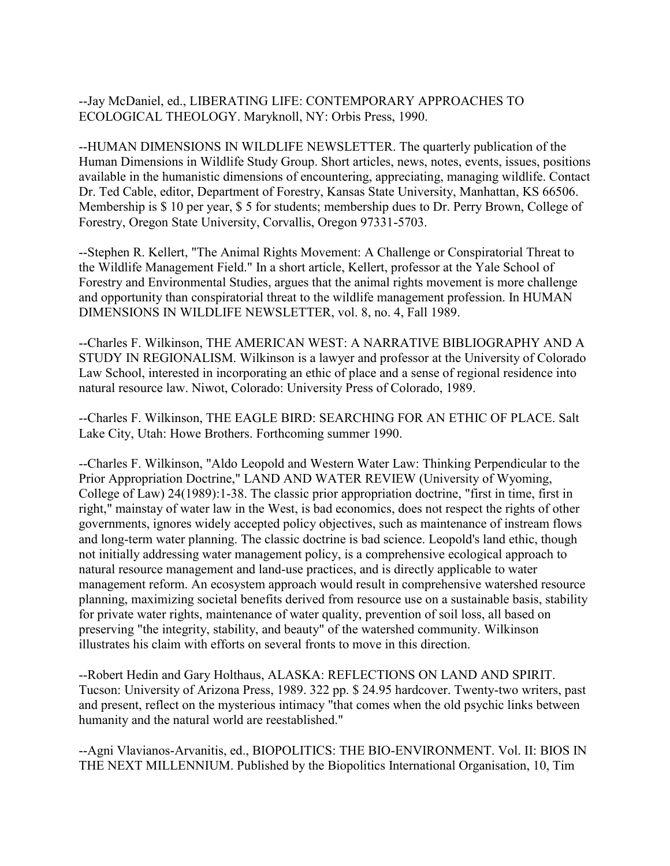--Jay McDaniel, ed., LIBERATING LIFE: CONTEMPORARY APPROACHES TO ECOLOGICAL THEOLOGY. Maryknoll, NY: Orbis Press, 1990.

--HUMAN DIMENSIONS IN WILDLIFE NEWSLETTER. The quarterly publication of the Human Dimensions in Wildlife Study Group. Short articles, news, notes, events, issues, positions available in the humanistic dimensions of encountering, appreciating, managing wildlife. Contact Dr. Ted Cable, editor, Department of Forestry, Kansas State University, Manhattan, KS 66506. Membership is \$ 10 per year, \$ 5 for students; membership dues to Dr. Perry Brown, College of Forestry, Oregon State University, Corvallis, Oregon 97331-5703.

--Stephen R. Kellert, "The Animal Rights Movement: A Challenge or Conspiratorial Threat to the Wildlife Management Field." In a short article, Kellert, professor at the Yale School of Forestry and Environmental Studies, argues that the animal rights movement is more challenge and opportunity than conspiratorial threat to the wildlife management profession. In HUMAN DIMENSIONS IN WILDLIFE NEWSLETTER, vol. 8, no. 4, Fall 1989.

--Charles F. Wilkinson, THE AMERICAN WEST: A NARRATIVE BIBLIOGRAPHY AND A STUDY IN REGIONALISM. Wilkinson is a lawyer and professor at the University of Colorado Law School, interested in incorporating an ethic of place and a sense of regional residence into natural resource law. Niwot, Colorado: University Press of Colorado, 1989.

--Charles F. Wilkinson, THE EAGLE BIRD: SEARCHING FOR AN ETHIC OF PLACE. Salt Lake City, Utah: Howe Brothers. Forthcoming summer 1990.

--Charles F. Wilkinson, "Aldo Leopold and Western Water Law: Thinking Perpendicular to the Prior Appropriation Doctrine," LAND AND WATER REVIEW (University of Wyoming, College of Law) 24(1989):1-38. The classic prior appropriation doctrine, "first in time, first in right," mainstay of water law in the West, is bad economics, does not respect the rights of other governments, ignores widely accepted policy objectives, such as maintenance of instream flows and long-term water planning. The classic doctrine is bad science. Leopold's land ethic, though not initially addressing water management policy, is a comprehensive ecological approach to natural resource management and land-use practices, and is directly applicable to water management reform. An ecosystem approach would result in comprehensive watershed resource planning, maximizing societal benefits derived from resource use on a sustainable basis, stability for private water rights, maintenance of water quality, prevention of soil loss, all based on preserving "the integrity, stability, and beauty" of the watershed community. Wilkinson illustrates his claim with efforts on several fronts to move in this direction.

--Robert Hedin and Gary Holthaus, ALASKA: REFLECTIONS ON LAND AND SPIRIT. Tucson: University of Arizona Press, 1989. 322 pp. \$ 24.95 hardcover. Twenty-two writers, past and present, reflect on the mysterious intimacy "that comes when the old psychic links between humanity and the natural world are reestablished."

--Agni Vlavianos-Arvanitis, ed., BIOPOLITICS: THE BIO-ENVIRONMENT. Vol. II: BIOS IN THE NEXT MILLENNIUM. Published by the Biopolitics International Organisation, 10, Tim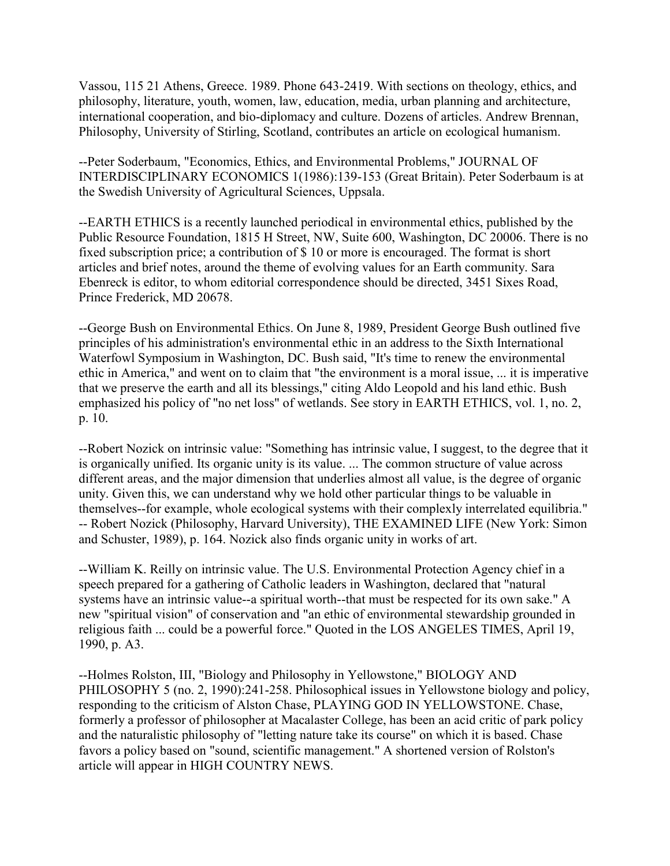Vassou, 115 21 Athens, Greece. 1989. Phone 643-2419. With sections on theology, ethics, and philosophy, literature, youth, women, law, education, media, urban planning and architecture, international cooperation, and bio-diplomacy and culture. Dozens of articles. Andrew Brennan, Philosophy, University of Stirling, Scotland, contributes an article on ecological humanism.

--Peter Soderbaum, "Economics, Ethics, and Environmental Problems," JOURNAL OF INTERDISCIPLINARY ECONOMICS 1(1986):139-153 (Great Britain). Peter Soderbaum is at the Swedish University of Agricultural Sciences, Uppsala.

--EARTH ETHICS is a recently launched periodical in environmental ethics, published by the Public Resource Foundation, 1815 H Street, NW, Suite 600, Washington, DC 20006. There is no fixed subscription price; a contribution of \$ 10 or more is encouraged. The format is short articles and brief notes, around the theme of evolving values for an Earth community. Sara Ebenreck is editor, to whom editorial correspondence should be directed, 3451 Sixes Road, Prince Frederick, MD 20678.

--George Bush on Environmental Ethics. On June 8, 1989, President George Bush outlined five principles of his administration's environmental ethic in an address to the Sixth International Waterfowl Symposium in Washington, DC. Bush said, "It's time to renew the environmental ethic in America," and went on to claim that "the environment is a moral issue, ... it is imperative that we preserve the earth and all its blessings," citing Aldo Leopold and his land ethic. Bush emphasized his policy of "no net loss" of wetlands. See story in EARTH ETHICS, vol. 1, no. 2, p. 10.

--Robert Nozick on intrinsic value: "Something has intrinsic value, I suggest, to the degree that it is organically unified. Its organic unity is its value. ... The common structure of value across different areas, and the major dimension that underlies almost all value, is the degree of organic unity. Given this, we can understand why we hold other particular things to be valuable in themselves--for example, whole ecological systems with their complexly interrelated equilibria." -- Robert Nozick (Philosophy, Harvard University), THE EXAMINED LIFE (New York: Simon and Schuster, 1989), p. 164. Nozick also finds organic unity in works of art.

--William K. Reilly on intrinsic value. The U.S. Environmental Protection Agency chief in a speech prepared for a gathering of Catholic leaders in Washington, declared that "natural systems have an intrinsic value--a spiritual worth--that must be respected for its own sake." A new "spiritual vision" of conservation and "an ethic of environmental stewardship grounded in religious faith ... could be a powerful force." Quoted in the LOS ANGELES TIMES, April 19, 1990, p. A3.

--Holmes Rolston, III, "Biology and Philosophy in Yellowstone," BIOLOGY AND PHILOSOPHY 5 (no. 2, 1990):241-258. Philosophical issues in Yellowstone biology and policy, responding to the criticism of Alston Chase, PLAYING GOD IN YELLOWSTONE. Chase, formerly a professor of philosopher at Macalaster College, has been an acid critic of park policy and the naturalistic philosophy of "letting nature take its course" on which it is based. Chase favors a policy based on "sound, scientific management." A shortened version of Rolston's article will appear in HIGH COUNTRY NEWS.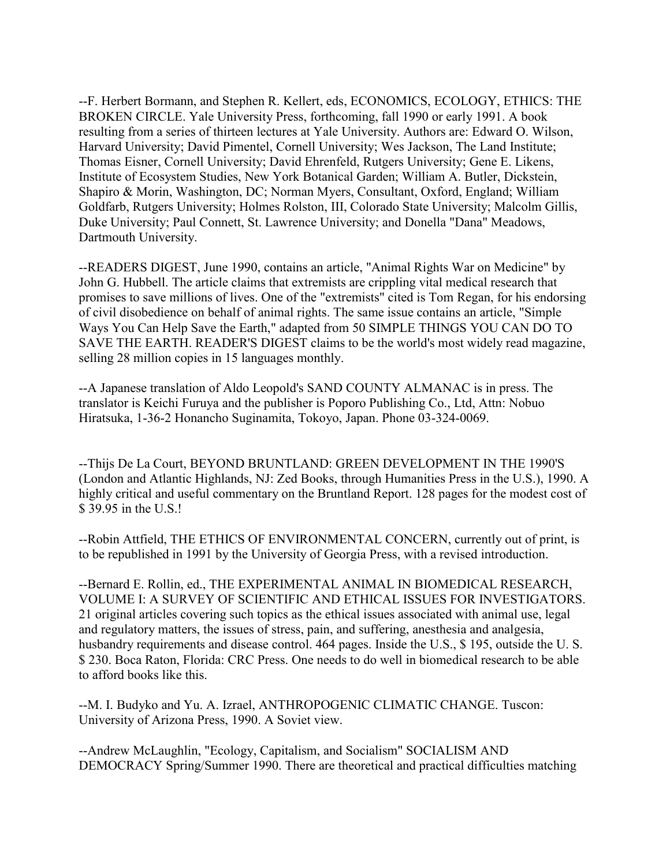--F. Herbert Bormann, and Stephen R. Kellert, eds, ECONOMICS, ECOLOGY, ETHICS: THE BROKEN CIRCLE. Yale University Press, forthcoming, fall 1990 or early 1991. A book resulting from a series of thirteen lectures at Yale University. Authors are: Edward O. Wilson, Harvard University; David Pimentel, Cornell University; Wes Jackson, The Land Institute; Thomas Eisner, Cornell University; David Ehrenfeld, Rutgers University; Gene E. Likens, Institute of Ecosystem Studies, New York Botanical Garden; William A. Butler, Dickstein, Shapiro & Morin, Washington, DC; Norman Myers, Consultant, Oxford, England; William Goldfarb, Rutgers University; Holmes Rolston, III, Colorado State University; Malcolm Gillis, Duke University; Paul Connett, St. Lawrence University; and Donella "Dana" Meadows, Dartmouth University.

--READERS DIGEST, June 1990, contains an article, "Animal Rights War on Medicine" by John G. Hubbell. The article claims that extremists are crippling vital medical research that promises to save millions of lives. One of the "extremists" cited is Tom Regan, for his endorsing of civil disobedience on behalf of animal rights. The same issue contains an article, "Simple Ways You Can Help Save the Earth," adapted from 50 SIMPLE THINGS YOU CAN DO TO SAVE THE EARTH. READER'S DIGEST claims to be the world's most widely read magazine, selling 28 million copies in 15 languages monthly.

--A Japanese translation of Aldo Leopold's SAND COUNTY ALMANAC is in press. The translator is Keichi Furuya and the publisher is Poporo Publishing Co., Ltd, Attn: Nobuo Hiratsuka, 1-36-2 Honancho Suginamita, Tokoyo, Japan. Phone 03-324-0069.

--Thijs De La Court, BEYOND BRUNTLAND: GREEN DEVELOPMENT IN THE 1990'S (London and Atlantic Highlands, NJ: Zed Books, through Humanities Press in the U.S.), 1990. A highly critical and useful commentary on the Bruntland Report. 128 pages for the modest cost of \$ 39.95 in the U.S.!

--Robin Attfield, THE ETHICS OF ENVIRONMENTAL CONCERN, currently out of print, is to be republished in 1991 by the University of Georgia Press, with a revised introduction.

--Bernard E. Rollin, ed., THE EXPERIMENTAL ANIMAL IN BIOMEDICAL RESEARCH, VOLUME I: A SURVEY OF SCIENTIFIC AND ETHICAL ISSUES FOR INVESTIGATORS. 21 original articles covering such topics as the ethical issues associated with animal use, legal and regulatory matters, the issues of stress, pain, and suffering, anesthesia and analgesia, husbandry requirements and disease control. 464 pages. Inside the U.S., \$ 195, outside the U. S. \$ 230. Boca Raton, Florida: CRC Press. One needs to do well in biomedical research to be able to afford books like this.

--M. I. Budyko and Yu. A. Izrael, ANTHROPOGENIC CLIMATIC CHANGE. Tuscon: University of Arizona Press, 1990. A Soviet view.

--Andrew McLaughlin, "Ecology, Capitalism, and Socialism" SOCIALISM AND DEMOCRACY Spring/Summer 1990. There are theoretical and practical difficulties matching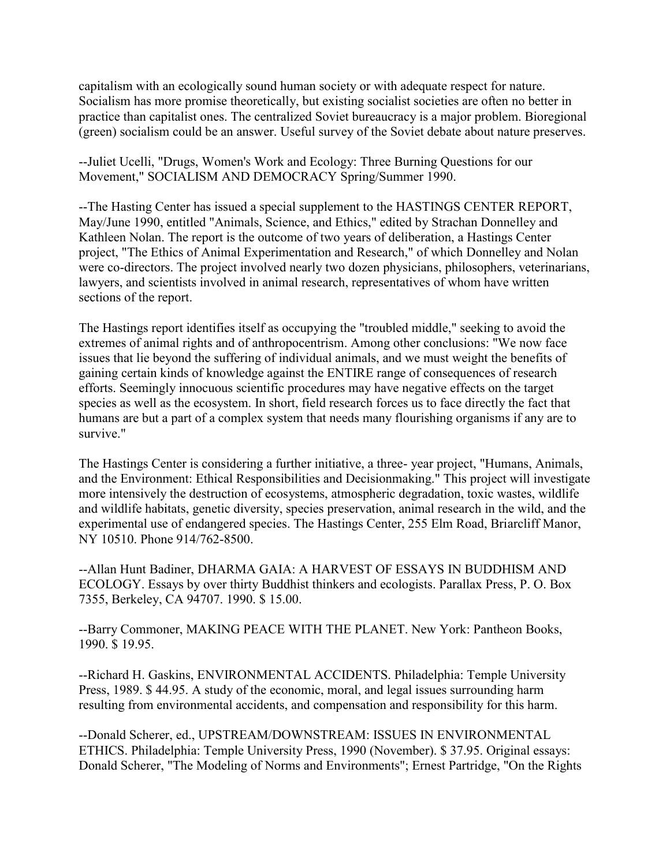capitalism with an ecologically sound human society or with adequate respect for nature. Socialism has more promise theoretically, but existing socialist societies are often no better in practice than capitalist ones. The centralized Soviet bureaucracy is a major problem. Bioregional (green) socialism could be an answer. Useful survey of the Soviet debate about nature preserves.

--Juliet Ucelli, "Drugs, Women's Work and Ecology: Three Burning Questions for our Movement," SOCIALISM AND DEMOCRACY Spring/Summer 1990.

--The Hasting Center has issued a special supplement to the HASTINGS CENTER REPORT, May/June 1990, entitled "Animals, Science, and Ethics," edited by Strachan Donnelley and Kathleen Nolan. The report is the outcome of two years of deliberation, a Hastings Center project, "The Ethics of Animal Experimentation and Research," of which Donnelley and Nolan were co-directors. The project involved nearly two dozen physicians, philosophers, veterinarians, lawyers, and scientists involved in animal research, representatives of whom have written sections of the report.

The Hastings report identifies itself as occupying the "troubled middle," seeking to avoid the extremes of animal rights and of anthropocentrism. Among other conclusions: "We now face issues that lie beyond the suffering of individual animals, and we must weight the benefits of gaining certain kinds of knowledge against the ENTIRE range of consequences of research efforts. Seemingly innocuous scientific procedures may have negative effects on the target species as well as the ecosystem. In short, field research forces us to face directly the fact that humans are but a part of a complex system that needs many flourishing organisms if any are to survive."

The Hastings Center is considering a further initiative, a three- year project, "Humans, Animals, and the Environment: Ethical Responsibilities and Decisionmaking." This project will investigate more intensively the destruction of ecosystems, atmospheric degradation, toxic wastes, wildlife and wildlife habitats, genetic diversity, species preservation, animal research in the wild, and the experimental use of endangered species. The Hastings Center, 255 Elm Road, Briarcliff Manor, NY 10510. Phone 914/762-8500.

--Allan Hunt Badiner, DHARMA GAIA: A HARVEST OF ESSAYS IN BUDDHISM AND ECOLOGY. Essays by over thirty Buddhist thinkers and ecologists. Parallax Press, P. O. Box 7355, Berkeley, CA 94707. 1990. \$ 15.00.

--Barry Commoner, MAKING PEACE WITH THE PLANET. New York: Pantheon Books, 1990. \$ 19.95.

--Richard H. Gaskins, ENVIRONMENTAL ACCIDENTS. Philadelphia: Temple University Press, 1989. \$ 44.95. A study of the economic, moral, and legal issues surrounding harm resulting from environmental accidents, and compensation and responsibility for this harm.

--Donald Scherer, ed., UPSTREAM/DOWNSTREAM: ISSUES IN ENVIRONMENTAL ETHICS. Philadelphia: Temple University Press, 1990 (November). \$ 37.95. Original essays: Donald Scherer, "The Modeling of Norms and Environments"; Ernest Partridge, "On the Rights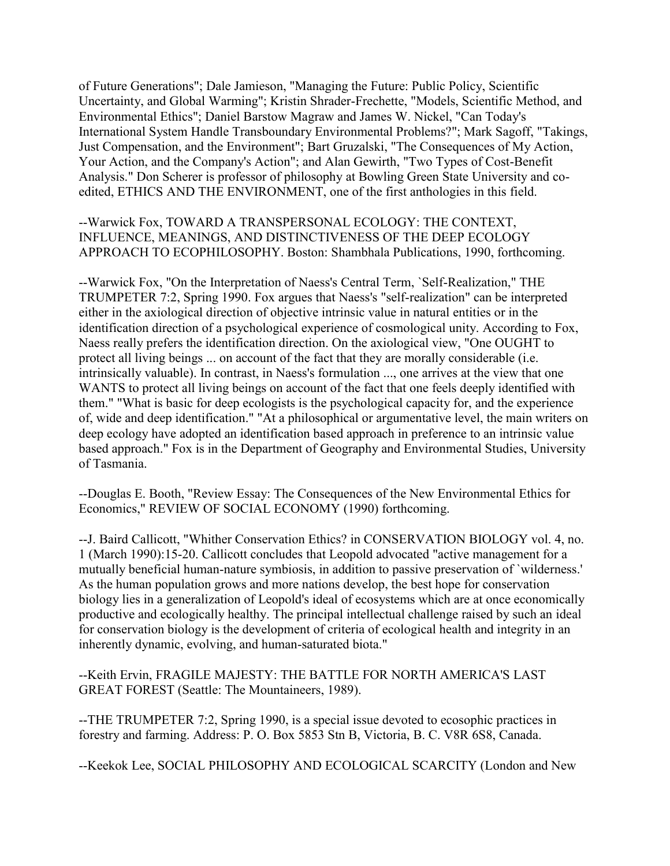of Future Generations"; Dale Jamieson, "Managing the Future: Public Policy, Scientific Uncertainty, and Global Warming"; Kristin Shrader-Frechette, "Models, Scientific Method, and Environmental Ethics"; Daniel Barstow Magraw and James W. Nickel, "Can Today's International System Handle Transboundary Environmental Problems?"; Mark Sagoff, "Takings, Just Compensation, and the Environment"; Bart Gruzalski, "The Consequences of My Action, Your Action, and the Company's Action"; and Alan Gewirth, "Two Types of Cost-Benefit Analysis." Don Scherer is professor of philosophy at Bowling Green State University and coedited, ETHICS AND THE ENVIRONMENT, one of the first anthologies in this field.

--Warwick Fox, TOWARD A TRANSPERSONAL ECOLOGY: THE CONTEXT, INFLUENCE, MEANINGS, AND DISTINCTIVENESS OF THE DEEP ECOLOGY APPROACH TO ECOPHILOSOPHY. Boston: Shambhala Publications, 1990, forthcoming.

--Warwick Fox, "On the Interpretation of Naess's Central Term, `Self-Realization," THE TRUMPETER 7:2, Spring 1990. Fox argues that Naess's "self-realization" can be interpreted either in the axiological direction of objective intrinsic value in natural entities or in the identification direction of a psychological experience of cosmological unity. According to Fox, Naess really prefers the identification direction. On the axiological view, "One OUGHT to protect all living beings ... on account of the fact that they are morally considerable (i.e. intrinsically valuable). In contrast, in Naess's formulation ..., one arrives at the view that one WANTS to protect all living beings on account of the fact that one feels deeply identified with them." "What is basic for deep ecologists is the psychological capacity for, and the experience of, wide and deep identification." "At a philosophical or argumentative level, the main writers on deep ecology have adopted an identification based approach in preference to an intrinsic value based approach." Fox is in the Department of Geography and Environmental Studies, University of Tasmania.

--Douglas E. Booth, "Review Essay: The Consequences of the New Environmental Ethics for Economics," REVIEW OF SOCIAL ECONOMY (1990) forthcoming.

--J. Baird Callicott, "Whither Conservation Ethics? in CONSERVATION BIOLOGY vol. 4, no. 1 (March 1990):15-20. Callicott concludes that Leopold advocated "active management for a mutually beneficial human-nature symbiosis, in addition to passive preservation of `wilderness.' As the human population grows and more nations develop, the best hope for conservation biology lies in a generalization of Leopold's ideal of ecosystems which are at once economically productive and ecologically healthy. The principal intellectual challenge raised by such an ideal for conservation biology is the development of criteria of ecological health and integrity in an inherently dynamic, evolving, and human-saturated biota."

--Keith Ervin, FRAGILE MAJESTY: THE BATTLE FOR NORTH AMERICA'S LAST GREAT FOREST (Seattle: The Mountaineers, 1989).

--THE TRUMPETER 7:2, Spring 1990, is a special issue devoted to ecosophic practices in forestry and farming. Address: P. O. Box 5853 Stn B, Victoria, B. C. V8R 6S8, Canada.

--Keekok Lee, SOCIAL PHILOSOPHY AND ECOLOGICAL SCARCITY (London and New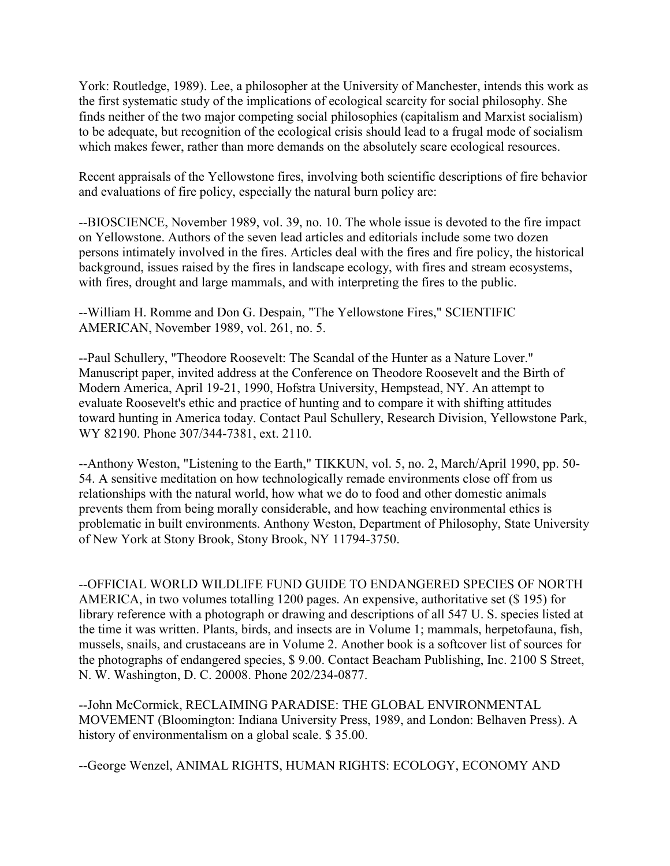York: Routledge, 1989). Lee, a philosopher at the University of Manchester, intends this work as the first systematic study of the implications of ecological scarcity for social philosophy. She finds neither of the two major competing social philosophies (capitalism and Marxist socialism) to be adequate, but recognition of the ecological crisis should lead to a frugal mode of socialism which makes fewer, rather than more demands on the absolutely scare ecological resources.

Recent appraisals of the Yellowstone fires, involving both scientific descriptions of fire behavior and evaluations of fire policy, especially the natural burn policy are:

--BIOSCIENCE, November 1989, vol. 39, no. 10. The whole issue is devoted to the fire impact on Yellowstone. Authors of the seven lead articles and editorials include some two dozen persons intimately involved in the fires. Articles deal with the fires and fire policy, the historical background, issues raised by the fires in landscape ecology, with fires and stream ecosystems, with fires, drought and large mammals, and with interpreting the fires to the public.

--William H. Romme and Don G. Despain, "The Yellowstone Fires," SCIENTIFIC AMERICAN, November 1989, vol. 261, no. 5.

--Paul Schullery, "Theodore Roosevelt: The Scandal of the Hunter as a Nature Lover." Manuscript paper, invited address at the Conference on Theodore Roosevelt and the Birth of Modern America, April 19-21, 1990, Hofstra University, Hempstead, NY. An attempt to evaluate Roosevelt's ethic and practice of hunting and to compare it with shifting attitudes toward hunting in America today. Contact Paul Schullery, Research Division, Yellowstone Park, WY 82190. Phone 307/344-7381, ext. 2110.

--Anthony Weston, "Listening to the Earth," TIKKUN, vol. 5, no. 2, March/April 1990, pp. 50- 54. A sensitive meditation on how technologically remade environments close off from us relationships with the natural world, how what we do to food and other domestic animals prevents them from being morally considerable, and how teaching environmental ethics is problematic in built environments. Anthony Weston, Department of Philosophy, State University of New York at Stony Brook, Stony Brook, NY 11794-3750.

--OFFICIAL WORLD WILDLIFE FUND GUIDE TO ENDANGERED SPECIES OF NORTH AMERICA, in two volumes totalling 1200 pages. An expensive, authoritative set (\$ 195) for library reference with a photograph or drawing and descriptions of all 547 U. S. species listed at the time it was written. Plants, birds, and insects are in Volume 1; mammals, herpetofauna, fish, mussels, snails, and crustaceans are in Volume 2. Another book is a softcover list of sources for the photographs of endangered species, \$ 9.00. Contact Beacham Publishing, Inc. 2100 S Street, N. W. Washington, D. C. 20008. Phone 202/234-0877.

--John McCormick, RECLAIMING PARADISE: THE GLOBAL ENVIRONMENTAL MOVEMENT (Bloomington: Indiana University Press, 1989, and London: Belhaven Press). A history of environmentalism on a global scale. \$ 35.00.

--George Wenzel, ANIMAL RIGHTS, HUMAN RIGHTS: ECOLOGY, ECONOMY AND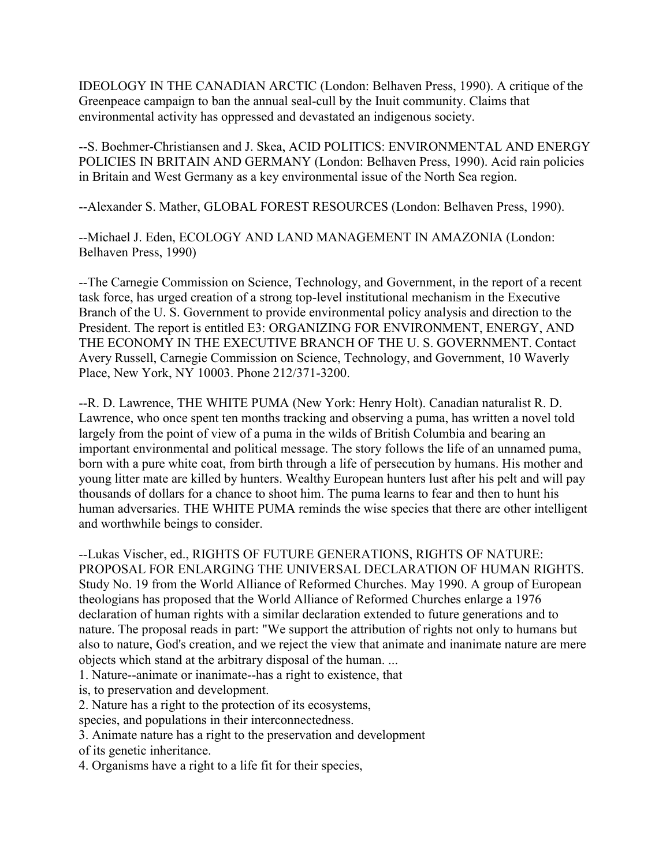IDEOLOGY IN THE CANADIAN ARCTIC (London: Belhaven Press, 1990). A critique of the Greenpeace campaign to ban the annual seal-cull by the Inuit community. Claims that environmental activity has oppressed and devastated an indigenous society.

--S. Boehmer-Christiansen and J. Skea, ACID POLITICS: ENVIRONMENTAL AND ENERGY POLICIES IN BRITAIN AND GERMANY (London: Belhaven Press, 1990). Acid rain policies in Britain and West Germany as a key environmental issue of the North Sea region.

--Alexander S. Mather, GLOBAL FOREST RESOURCES (London: Belhaven Press, 1990).

--Michael J. Eden, ECOLOGY AND LAND MANAGEMENT IN AMAZONIA (London: Belhaven Press, 1990)

--The Carnegie Commission on Science, Technology, and Government, in the report of a recent task force, has urged creation of a strong top-level institutional mechanism in the Executive Branch of the U. S. Government to provide environmental policy analysis and direction to the President. The report is entitled E3: ORGANIZING FOR ENVIRONMENT, ENERGY, AND THE ECONOMY IN THE EXECUTIVE BRANCH OF THE U. S. GOVERNMENT. Contact Avery Russell, Carnegie Commission on Science, Technology, and Government, 10 Waverly Place, New York, NY 10003. Phone 212/371-3200.

--R. D. Lawrence, THE WHITE PUMA (New York: Henry Holt). Canadian naturalist R. D. Lawrence, who once spent ten months tracking and observing a puma, has written a novel told largely from the point of view of a puma in the wilds of British Columbia and bearing an important environmental and political message. The story follows the life of an unnamed puma, born with a pure white coat, from birth through a life of persecution by humans. His mother and young litter mate are killed by hunters. Wealthy European hunters lust after his pelt and will pay thousands of dollars for a chance to shoot him. The puma learns to fear and then to hunt his human adversaries. THE WHITE PUMA reminds the wise species that there are other intelligent and worthwhile beings to consider.

--Lukas Vischer, ed., RIGHTS OF FUTURE GENERATIONS, RIGHTS OF NATURE: PROPOSAL FOR ENLARGING THE UNIVERSAL DECLARATION OF HUMAN RIGHTS. Study No. 19 from the World Alliance of Reformed Churches. May 1990. A group of European theologians has proposed that the World Alliance of Reformed Churches enlarge a 1976 declaration of human rights with a similar declaration extended to future generations and to nature. The proposal reads in part: "We support the attribution of rights not only to humans but also to nature, God's creation, and we reject the view that animate and inanimate nature are mere objects which stand at the arbitrary disposal of the human. ...

1. Nature--animate or inanimate--has a right to existence, that

- is, to preservation and development.
- 2. Nature has a right to the protection of its ecosystems,
- species, and populations in their interconnectedness.
- 3. Animate nature has a right to the preservation and development of its genetic inheritance.
- 4. Organisms have a right to a life fit for their species,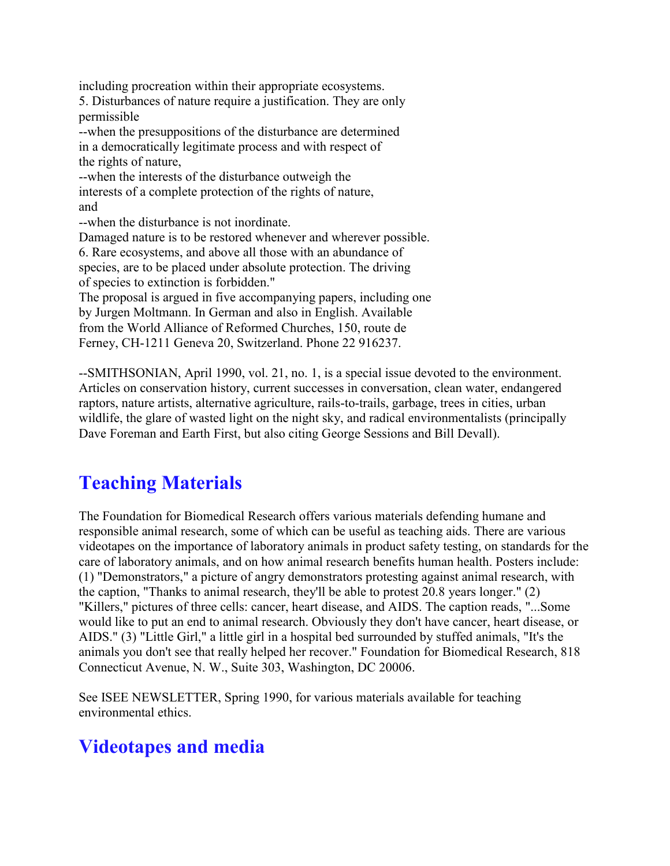including procreation within their appropriate ecosystems.

5. Disturbances of nature require a justification. They are only permissible

--when the presuppositions of the disturbance are determined in a democratically legitimate process and with respect of the rights of nature,

--when the interests of the disturbance outweigh the interests of a complete protection of the rights of nature, and

--when the disturbance is not inordinate.

Damaged nature is to be restored whenever and wherever possible.

6. Rare ecosystems, and above all those with an abundance of species, are to be placed under absolute protection. The driving of species to extinction is forbidden."

The proposal is argued in five accompanying papers, including one by Jurgen Moltmann. In German and also in English. Available from the World Alliance of Reformed Churches, 150, route de Ferney, CH-1211 Geneva 20, Switzerland. Phone 22 916237.

--SMITHSONIAN, April 1990, vol. 21, no. 1, is a special issue devoted to the environment. Articles on conservation history, current successes in conversation, clean water, endangered raptors, nature artists, alternative agriculture, rails-to-trails, garbage, trees in cities, urban wildlife, the glare of wasted light on the night sky, and radical environmentalists (principally Dave Foreman and Earth First, but also citing George Sessions and Bill Devall).

## **Teaching Materials**

The Foundation for Biomedical Research offers various materials defending humane and responsible animal research, some of which can be useful as teaching aids. There are various videotapes on the importance of laboratory animals in product safety testing, on standards for the care of laboratory animals, and on how animal research benefits human health. Posters include: (1) "Demonstrators," a picture of angry demonstrators protesting against animal research, with the caption, "Thanks to animal research, they'll be able to protest 20.8 years longer." (2) "Killers," pictures of three cells: cancer, heart disease, and AIDS. The caption reads, "...Some would like to put an end to animal research. Obviously they don't have cancer, heart disease, or AIDS." (3) "Little Girl," a little girl in a hospital bed surrounded by stuffed animals, "It's the animals you don't see that really helped her recover." Foundation for Biomedical Research, 818 Connecticut Avenue, N. W., Suite 303, Washington, DC 20006.

See ISEE NEWSLETTER, Spring 1990, for various materials available for teaching environmental ethics.

### **Videotapes and media**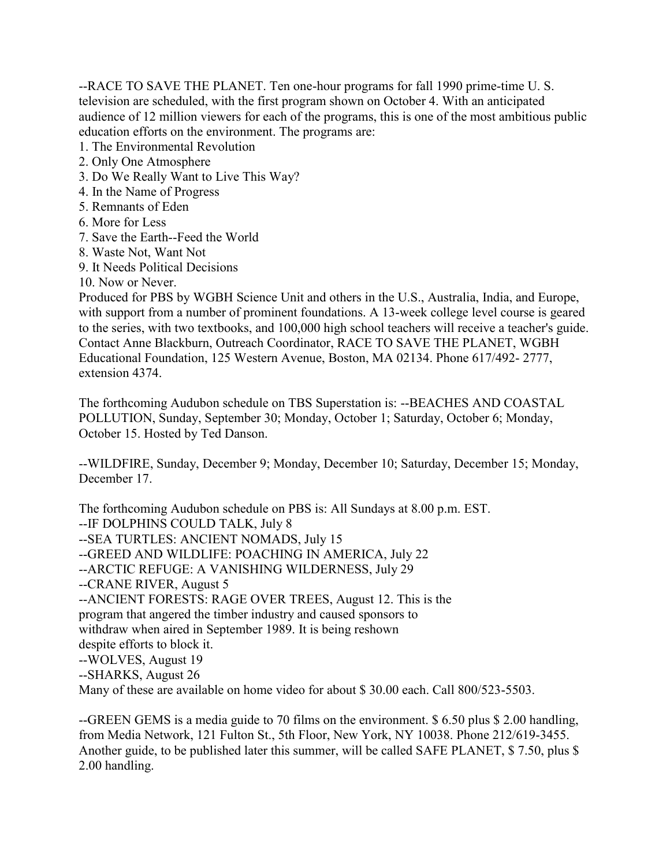--RACE TO SAVE THE PLANET. Ten one-hour programs for fall 1990 prime-time U. S. television are scheduled, with the first program shown on October 4. With an anticipated audience of 12 million viewers for each of the programs, this is one of the most ambitious public education efforts on the environment. The programs are:

- 1. The Environmental Revolution
- 2. Only One Atmosphere
- 3. Do We Really Want to Live This Way?
- 4. In the Name of Progress
- 5. Remnants of Eden
- 6. More for Less
- 7. Save the Earth--Feed the World
- 8. Waste Not, Want Not
- 9. It Needs Political Decisions

10. Now or Never.

Produced for PBS by WGBH Science Unit and others in the U.S., Australia, India, and Europe, with support from a number of prominent foundations. A 13-week college level course is geared to the series, with two textbooks, and 100,000 high school teachers will receive a teacher's guide. Contact Anne Blackburn, Outreach Coordinator, RACE TO SAVE THE PLANET, WGBH Educational Foundation, 125 Western Avenue, Boston, MA 02134. Phone 617/492- 2777, extension 4374.

The forthcoming Audubon schedule on TBS Superstation is: --BEACHES AND COASTAL POLLUTION, Sunday, September 30; Monday, October 1; Saturday, October 6; Monday, October 15. Hosted by Ted Danson.

--WILDFIRE, Sunday, December 9; Monday, December 10; Saturday, December 15; Monday, December 17

The forthcoming Audubon schedule on PBS is: All Sundays at 8.00 p.m. EST. --IF DOLPHINS COULD TALK, July 8 --SEA TURTLES: ANCIENT NOMADS, July 15 --GREED AND WILDLIFE: POACHING IN AMERICA, July 22 --ARCTIC REFUGE: A VANISHING WILDERNESS, July 29 --CRANE RIVER, August 5 --ANCIENT FORESTS: RAGE OVER TREES, August 12. This is the program that angered the timber industry and caused sponsors to withdraw when aired in September 1989. It is being reshown despite efforts to block it. --WOLVES, August 19 --SHARKS, August 26

Many of these are available on home video for about \$ 30.00 each. Call 800/523-5503.

--GREEN GEMS is a media guide to 70 films on the environment. \$ 6.50 plus \$ 2.00 handling, from Media Network, 121 Fulton St., 5th Floor, New York, NY 10038. Phone 212/619-3455. Another guide, to be published later this summer, will be called SAFE PLANET, \$ 7.50, plus \$ 2.00 handling.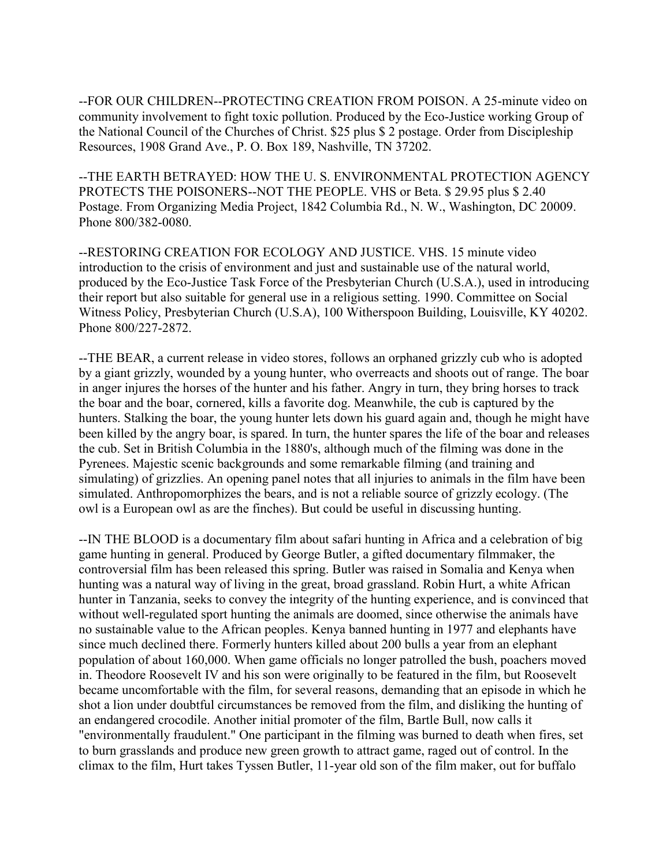--FOR OUR CHILDREN--PROTECTING CREATION FROM POISON. A 25-minute video on community involvement to fight toxic pollution. Produced by the Eco-Justice working Group of the National Council of the Churches of Christ. \$25 plus \$ 2 postage. Order from Discipleship Resources, 1908 Grand Ave., P. O. Box 189, Nashville, TN 37202.

--THE EARTH BETRAYED: HOW THE U. S. ENVIRONMENTAL PROTECTION AGENCY PROTECTS THE POISONERS--NOT THE PEOPLE. VHS or Beta. \$ 29.95 plus \$ 2.40 Postage. From Organizing Media Project, 1842 Columbia Rd., N. W., Washington, DC 20009. Phone 800/382-0080.

--RESTORING CREATION FOR ECOLOGY AND JUSTICE. VHS. 15 minute video introduction to the crisis of environment and just and sustainable use of the natural world, produced by the Eco-Justice Task Force of the Presbyterian Church (U.S.A.), used in introducing their report but also suitable for general use in a religious setting. 1990. Committee on Social Witness Policy, Presbyterian Church (U.S.A), 100 Witherspoon Building, Louisville, KY 40202. Phone 800/227-2872.

--THE BEAR, a current release in video stores, follows an orphaned grizzly cub who is adopted by a giant grizzly, wounded by a young hunter, who overreacts and shoots out of range. The boar in anger injures the horses of the hunter and his father. Angry in turn, they bring horses to track the boar and the boar, cornered, kills a favorite dog. Meanwhile, the cub is captured by the hunters. Stalking the boar, the young hunter lets down his guard again and, though he might have been killed by the angry boar, is spared. In turn, the hunter spares the life of the boar and releases the cub. Set in British Columbia in the 1880's, although much of the filming was done in the Pyrenees. Majestic scenic backgrounds and some remarkable filming (and training and simulating) of grizzlies. An opening panel notes that all injuries to animals in the film have been simulated. Anthropomorphizes the bears, and is not a reliable source of grizzly ecology. (The owl is a European owl as are the finches). But could be useful in discussing hunting.

--IN THE BLOOD is a documentary film about safari hunting in Africa and a celebration of big game hunting in general. Produced by George Butler, a gifted documentary filmmaker, the controversial film has been released this spring. Butler was raised in Somalia and Kenya when hunting was a natural way of living in the great, broad grassland. Robin Hurt, a white African hunter in Tanzania, seeks to convey the integrity of the hunting experience, and is convinced that without well-regulated sport hunting the animals are doomed, since otherwise the animals have no sustainable value to the African peoples. Kenya banned hunting in 1977 and elephants have since much declined there. Formerly hunters killed about 200 bulls a year from an elephant population of about 160,000. When game officials no longer patrolled the bush, poachers moved in. Theodore Roosevelt IV and his son were originally to be featured in the film, but Roosevelt became uncomfortable with the film, for several reasons, demanding that an episode in which he shot a lion under doubtful circumstances be removed from the film, and disliking the hunting of an endangered crocodile. Another initial promoter of the film, Bartle Bull, now calls it "environmentally fraudulent." One participant in the filming was burned to death when fires, set to burn grasslands and produce new green growth to attract game, raged out of control. In the climax to the film, Hurt takes Tyssen Butler, 11-year old son of the film maker, out for buffalo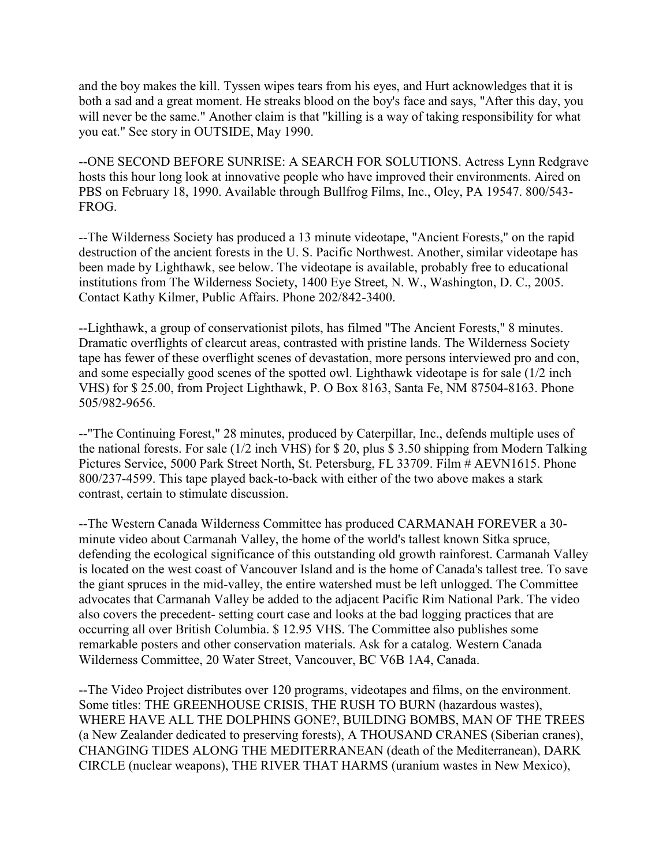and the boy makes the kill. Tyssen wipes tears from his eyes, and Hurt acknowledges that it is both a sad and a great moment. He streaks blood on the boy's face and says, "After this day, you will never be the same." Another claim is that "killing is a way of taking responsibility for what you eat." See story in OUTSIDE, May 1990.

--ONE SECOND BEFORE SUNRISE: A SEARCH FOR SOLUTIONS. Actress Lynn Redgrave hosts this hour long look at innovative people who have improved their environments. Aired on PBS on February 18, 1990. Available through Bullfrog Films, Inc., Oley, PA 19547. 800/543- FROG.

--The Wilderness Society has produced a 13 minute videotape, "Ancient Forests," on the rapid destruction of the ancient forests in the U. S. Pacific Northwest. Another, similar videotape has been made by Lighthawk, see below. The videotape is available, probably free to educational institutions from The Wilderness Society, 1400 Eye Street, N. W., Washington, D. C., 2005. Contact Kathy Kilmer, Public Affairs. Phone 202/842-3400.

--Lighthawk, a group of conservationist pilots, has filmed "The Ancient Forests," 8 minutes. Dramatic overflights of clearcut areas, contrasted with pristine lands. The Wilderness Society tape has fewer of these overflight scenes of devastation, more persons interviewed pro and con, and some especially good scenes of the spotted owl. Lighthawk videotape is for sale (1/2 inch VHS) for \$ 25.00, from Project Lighthawk, P. O Box 8163, Santa Fe, NM 87504-8163. Phone 505/982-9656.

--"The Continuing Forest," 28 minutes, produced by Caterpillar, Inc., defends multiple uses of the national forests. For sale (1/2 inch VHS) for \$ 20, plus \$ 3.50 shipping from Modern Talking Pictures Service, 5000 Park Street North, St. Petersburg, FL 33709. Film # AEVN1615. Phone 800/237-4599. This tape played back-to-back with either of the two above makes a stark contrast, certain to stimulate discussion.

--The Western Canada Wilderness Committee has produced CARMANAH FOREVER a 30 minute video about Carmanah Valley, the home of the world's tallest known Sitka spruce, defending the ecological significance of this outstanding old growth rainforest. Carmanah Valley is located on the west coast of Vancouver Island and is the home of Canada's tallest tree. To save the giant spruces in the mid-valley, the entire watershed must be left unlogged. The Committee advocates that Carmanah Valley be added to the adjacent Pacific Rim National Park. The video also covers the precedent- setting court case and looks at the bad logging practices that are occurring all over British Columbia. \$ 12.95 VHS. The Committee also publishes some remarkable posters and other conservation materials. Ask for a catalog. Western Canada Wilderness Committee, 20 Water Street, Vancouver, BC V6B 1A4, Canada.

--The Video Project distributes over 120 programs, videotapes and films, on the environment. Some titles: THE GREENHOUSE CRISIS, THE RUSH TO BURN (hazardous wastes), WHERE HAVE ALL THE DOLPHINS GONE?, BUILDING BOMBS, MAN OF THE TREES (a New Zealander dedicated to preserving forests), A THOUSAND CRANES (Siberian cranes), CHANGING TIDES ALONG THE MEDITERRANEAN (death of the Mediterranean), DARK CIRCLE (nuclear weapons), THE RIVER THAT HARMS (uranium wastes in New Mexico),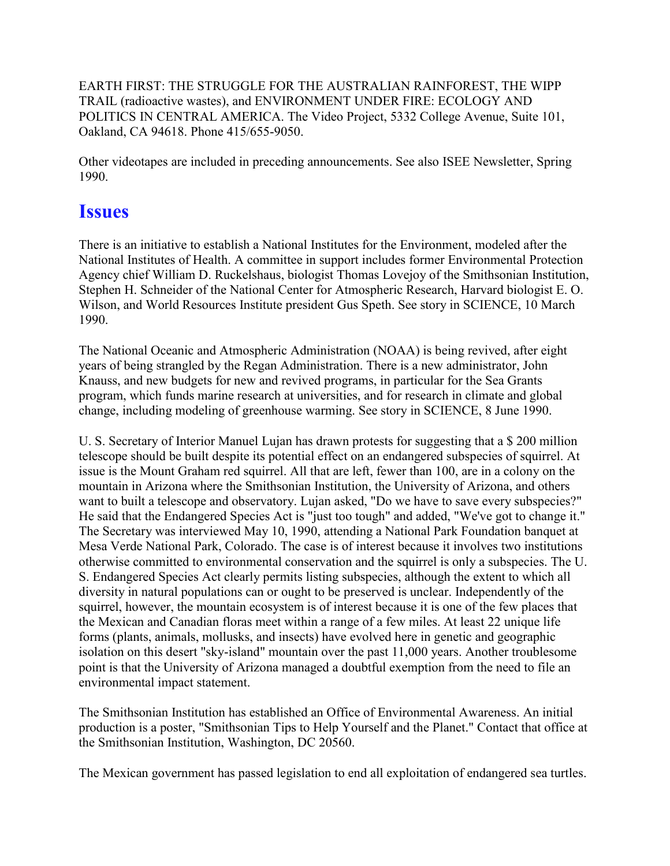EARTH FIRST: THE STRUGGLE FOR THE AUSTRALIAN RAINFOREST, THE WIPP TRAIL (radioactive wastes), and ENVIRONMENT UNDER FIRE: ECOLOGY AND POLITICS IN CENTRAL AMERICA. The Video Project, 5332 College Avenue, Suite 101, Oakland, CA 94618. Phone 415/655-9050.

Other videotapes are included in preceding announcements. See also ISEE Newsletter, Spring 1990.

#### **Issues**

There is an initiative to establish a National Institutes for the Environment, modeled after the National Institutes of Health. A committee in support includes former Environmental Protection Agency chief William D. Ruckelshaus, biologist Thomas Lovejoy of the Smithsonian Institution, Stephen H. Schneider of the National Center for Atmospheric Research, Harvard biologist E. O. Wilson, and World Resources Institute president Gus Speth. See story in SCIENCE, 10 March 1990.

The National Oceanic and Atmospheric Administration (NOAA) is being revived, after eight years of being strangled by the Regan Administration. There is a new administrator, John Knauss, and new budgets for new and revived programs, in particular for the Sea Grants program, which funds marine research at universities, and for research in climate and global change, including modeling of greenhouse warming. See story in SCIENCE, 8 June 1990.

U. S. Secretary of Interior Manuel Lujan has drawn protests for suggesting that a \$ 200 million telescope should be built despite its potential effect on an endangered subspecies of squirrel. At issue is the Mount Graham red squirrel. All that are left, fewer than 100, are in a colony on the mountain in Arizona where the Smithsonian Institution, the University of Arizona, and others want to built a telescope and observatory. Lujan asked, "Do we have to save every subspecies?" He said that the Endangered Species Act is "just too tough" and added, "We've got to change it." The Secretary was interviewed May 10, 1990, attending a National Park Foundation banquet at Mesa Verde National Park, Colorado. The case is of interest because it involves two institutions otherwise committed to environmental conservation and the squirrel is only a subspecies. The U. S. Endangered Species Act clearly permits listing subspecies, although the extent to which all diversity in natural populations can or ought to be preserved is unclear. Independently of the squirrel, however, the mountain ecosystem is of interest because it is one of the few places that the Mexican and Canadian floras meet within a range of a few miles. At least 22 unique life forms (plants, animals, mollusks, and insects) have evolved here in genetic and geographic isolation on this desert "sky-island" mountain over the past 11,000 years. Another troublesome point is that the University of Arizona managed a doubtful exemption from the need to file an environmental impact statement.

The Smithsonian Institution has established an Office of Environmental Awareness. An initial production is a poster, "Smithsonian Tips to Help Yourself and the Planet." Contact that office at the Smithsonian Institution, Washington, DC 20560.

The Mexican government has passed legislation to end all exploitation of endangered sea turtles.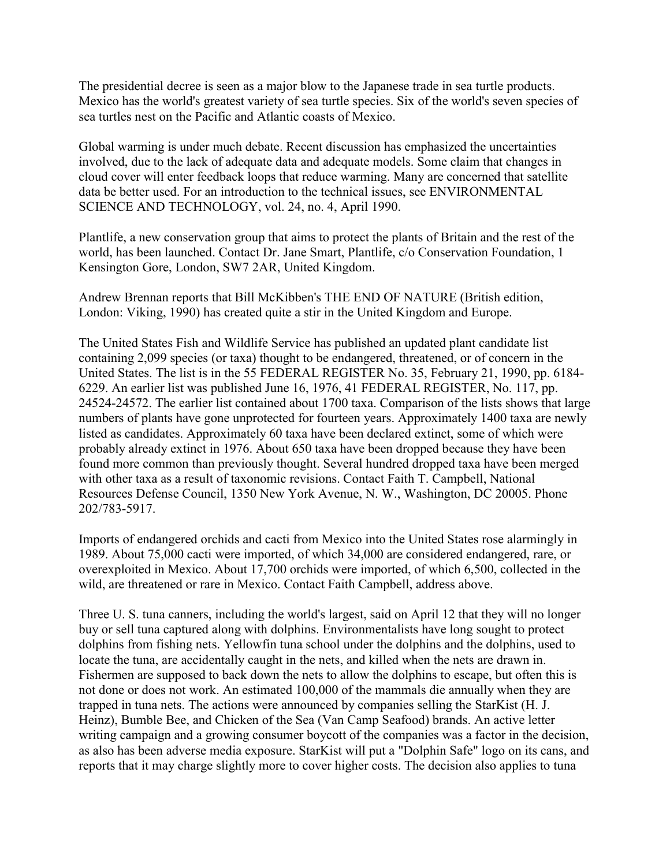The presidential decree is seen as a major blow to the Japanese trade in sea turtle products. Mexico has the world's greatest variety of sea turtle species. Six of the world's seven species of sea turtles nest on the Pacific and Atlantic coasts of Mexico.

Global warming is under much debate. Recent discussion has emphasized the uncertainties involved, due to the lack of adequate data and adequate models. Some claim that changes in cloud cover will enter feedback loops that reduce warming. Many are concerned that satellite data be better used. For an introduction to the technical issues, see ENVIRONMENTAL SCIENCE AND TECHNOLOGY, vol. 24, no. 4, April 1990.

Plantlife, a new conservation group that aims to protect the plants of Britain and the rest of the world, has been launched. Contact Dr. Jane Smart, Plantlife, c/o Conservation Foundation, 1 Kensington Gore, London, SW7 2AR, United Kingdom.

Andrew Brennan reports that Bill McKibben's THE END OF NATURE (British edition, London: Viking, 1990) has created quite a stir in the United Kingdom and Europe.

The United States Fish and Wildlife Service has published an updated plant candidate list containing 2,099 species (or taxa) thought to be endangered, threatened, or of concern in the United States. The list is in the 55 FEDERAL REGISTER No. 35, February 21, 1990, pp. 6184- 6229. An earlier list was published June 16, 1976, 41 FEDERAL REGISTER, No. 117, pp. 24524-24572. The earlier list contained about 1700 taxa. Comparison of the lists shows that large numbers of plants have gone unprotected for fourteen years. Approximately 1400 taxa are newly listed as candidates. Approximately 60 taxa have been declared extinct, some of which were probably already extinct in 1976. About 650 taxa have been dropped because they have been found more common than previously thought. Several hundred dropped taxa have been merged with other taxa as a result of taxonomic revisions. Contact Faith T. Campbell, National Resources Defense Council, 1350 New York Avenue, N. W., Washington, DC 20005. Phone 202/783-5917.

Imports of endangered orchids and cacti from Mexico into the United States rose alarmingly in 1989. About 75,000 cacti were imported, of which 34,000 are considered endangered, rare, or overexploited in Mexico. About 17,700 orchids were imported, of which 6,500, collected in the wild, are threatened or rare in Mexico. Contact Faith Campbell, address above.

Three U. S. tuna canners, including the world's largest, said on April 12 that they will no longer buy or sell tuna captured along with dolphins. Environmentalists have long sought to protect dolphins from fishing nets. Yellowfin tuna school under the dolphins and the dolphins, used to locate the tuna, are accidentally caught in the nets, and killed when the nets are drawn in. Fishermen are supposed to back down the nets to allow the dolphins to escape, but often this is not done or does not work. An estimated 100,000 of the mammals die annually when they are trapped in tuna nets. The actions were announced by companies selling the StarKist (H. J. Heinz), Bumble Bee, and Chicken of the Sea (Van Camp Seafood) brands. An active letter writing campaign and a growing consumer boycott of the companies was a factor in the decision, as also has been adverse media exposure. StarKist will put a "Dolphin Safe" logo on its cans, and reports that it may charge slightly more to cover higher costs. The decision also applies to tuna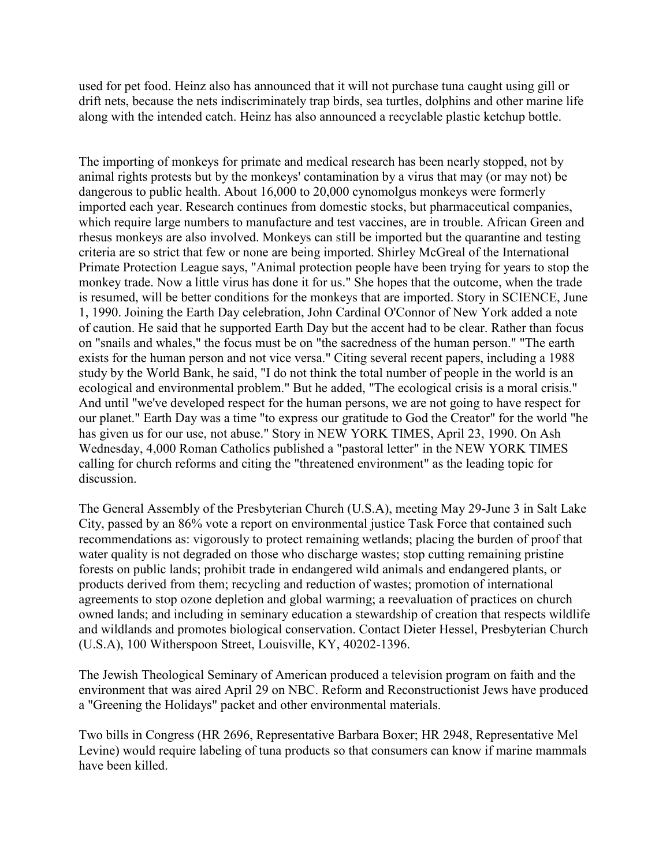used for pet food. Heinz also has announced that it will not purchase tuna caught using gill or drift nets, because the nets indiscriminately trap birds, sea turtles, dolphins and other marine life along with the intended catch. Heinz has also announced a recyclable plastic ketchup bottle.

The importing of monkeys for primate and medical research has been nearly stopped, not by animal rights protests but by the monkeys' contamination by a virus that may (or may not) be dangerous to public health. About 16,000 to 20,000 cynomolgus monkeys were formerly imported each year. Research continues from domestic stocks, but pharmaceutical companies, which require large numbers to manufacture and test vaccines, are in trouble. African Green and rhesus monkeys are also involved. Monkeys can still be imported but the quarantine and testing criteria are so strict that few or none are being imported. Shirley McGreal of the International Primate Protection League says, "Animal protection people have been trying for years to stop the monkey trade. Now a little virus has done it for us." She hopes that the outcome, when the trade is resumed, will be better conditions for the monkeys that are imported. Story in SCIENCE, June 1, 1990. Joining the Earth Day celebration, John Cardinal O'Connor of New York added a note of caution. He said that he supported Earth Day but the accent had to be clear. Rather than focus on "snails and whales," the focus must be on "the sacredness of the human person." "The earth exists for the human person and not vice versa." Citing several recent papers, including a 1988 study by the World Bank, he said, "I do not think the total number of people in the world is an ecological and environmental problem." But he added, "The ecological crisis is a moral crisis." And until "we've developed respect for the human persons, we are not going to have respect for our planet." Earth Day was a time "to express our gratitude to God the Creator" for the world "he has given us for our use, not abuse." Story in NEW YORK TIMES, April 23, 1990. On Ash Wednesday, 4,000 Roman Catholics published a "pastoral letter" in the NEW YORK TIMES calling for church reforms and citing the "threatened environment" as the leading topic for discussion.

The General Assembly of the Presbyterian Church (U.S.A), meeting May 29-June 3 in Salt Lake City, passed by an 86% vote a report on environmental justice Task Force that contained such recommendations as: vigorously to protect remaining wetlands; placing the burden of proof that water quality is not degraded on those who discharge wastes; stop cutting remaining pristine forests on public lands; prohibit trade in endangered wild animals and endangered plants, or products derived from them; recycling and reduction of wastes; promotion of international agreements to stop ozone depletion and global warming; a reevaluation of practices on church owned lands; and including in seminary education a stewardship of creation that respects wildlife and wildlands and promotes biological conservation. Contact Dieter Hessel, Presbyterian Church (U.S.A), 100 Witherspoon Street, Louisville, KY, 40202-1396.

The Jewish Theological Seminary of American produced a television program on faith and the environment that was aired April 29 on NBC. Reform and Reconstructionist Jews have produced a "Greening the Holidays" packet and other environmental materials.

Two bills in Congress (HR 2696, Representative Barbara Boxer; HR 2948, Representative Mel Levine) would require labeling of tuna products so that consumers can know if marine mammals have been killed.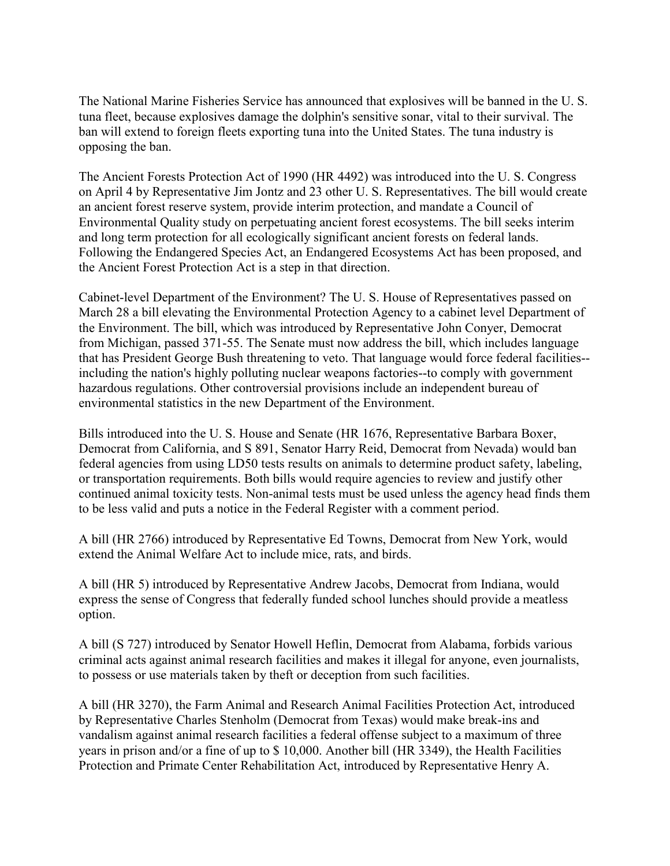The National Marine Fisheries Service has announced that explosives will be banned in the U. S. tuna fleet, because explosives damage the dolphin's sensitive sonar, vital to their survival. The ban will extend to foreign fleets exporting tuna into the United States. The tuna industry is opposing the ban.

The Ancient Forests Protection Act of 1990 (HR 4492) was introduced into the U. S. Congress on April 4 by Representative Jim Jontz and 23 other U. S. Representatives. The bill would create an ancient forest reserve system, provide interim protection, and mandate a Council of Environmental Quality study on perpetuating ancient forest ecosystems. The bill seeks interim and long term protection for all ecologically significant ancient forests on federal lands. Following the Endangered Species Act, an Endangered Ecosystems Act has been proposed, and the Ancient Forest Protection Act is a step in that direction.

Cabinet-level Department of the Environment? The U. S. House of Representatives passed on March 28 a bill elevating the Environmental Protection Agency to a cabinet level Department of the Environment. The bill, which was introduced by Representative John Conyer, Democrat from Michigan, passed 371-55. The Senate must now address the bill, which includes language that has President George Bush threatening to veto. That language would force federal facilities- including the nation's highly polluting nuclear weapons factories--to comply with government hazardous regulations. Other controversial provisions include an independent bureau of environmental statistics in the new Department of the Environment.

Bills introduced into the U. S. House and Senate (HR 1676, Representative Barbara Boxer, Democrat from California, and S 891, Senator Harry Reid, Democrat from Nevada) would ban federal agencies from using LD50 tests results on animals to determine product safety, labeling, or transportation requirements. Both bills would require agencies to review and justify other continued animal toxicity tests. Non-animal tests must be used unless the agency head finds them to be less valid and puts a notice in the Federal Register with a comment period.

A bill (HR 2766) introduced by Representative Ed Towns, Democrat from New York, would extend the Animal Welfare Act to include mice, rats, and birds.

A bill (HR 5) introduced by Representative Andrew Jacobs, Democrat from Indiana, would express the sense of Congress that federally funded school lunches should provide a meatless option.

A bill (S 727) introduced by Senator Howell Heflin, Democrat from Alabama, forbids various criminal acts against animal research facilities and makes it illegal for anyone, even journalists, to possess or use materials taken by theft or deception from such facilities.

A bill (HR 3270), the Farm Animal and Research Animal Facilities Protection Act, introduced by Representative Charles Stenholm (Democrat from Texas) would make break-ins and vandalism against animal research facilities a federal offense subject to a maximum of three years in prison and/or a fine of up to \$ 10,000. Another bill (HR 3349), the Health Facilities Protection and Primate Center Rehabilitation Act, introduced by Representative Henry A.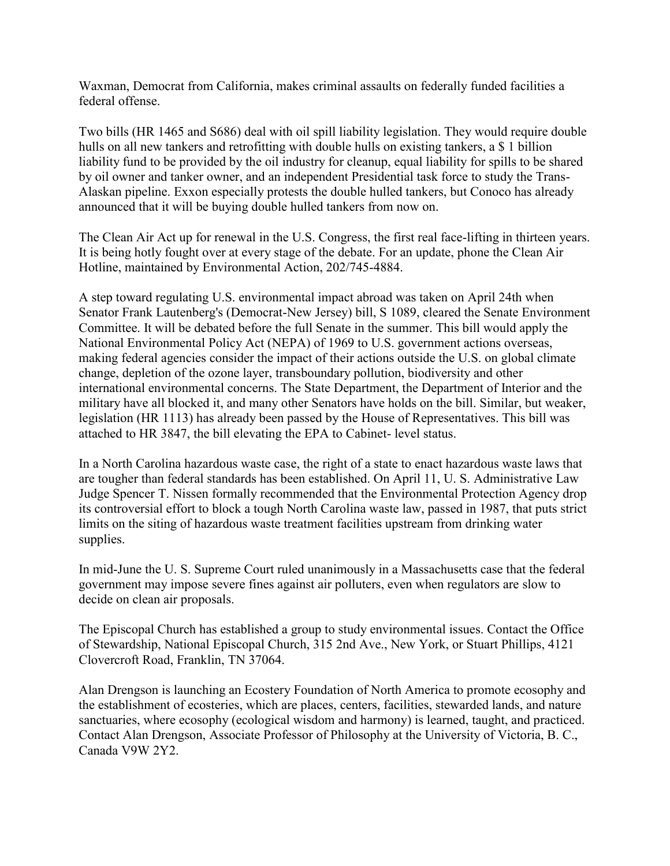Waxman, Democrat from California, makes criminal assaults on federally funded facilities a federal offense.

Two bills (HR 1465 and S686) deal with oil spill liability legislation. They would require double hulls on all new tankers and retrofitting with double hulls on existing tankers, a \$ 1 billion liability fund to be provided by the oil industry for cleanup, equal liability for spills to be shared by oil owner and tanker owner, and an independent Presidential task force to study the Trans-Alaskan pipeline. Exxon especially protests the double hulled tankers, but Conoco has already announced that it will be buying double hulled tankers from now on.

The Clean Air Act up for renewal in the U.S. Congress, the first real face-lifting in thirteen years. It is being hotly fought over at every stage of the debate. For an update, phone the Clean Air Hotline, maintained by Environmental Action, 202/745-4884.

A step toward regulating U.S. environmental impact abroad was taken on April 24th when Senator Frank Lautenberg's (Democrat-New Jersey) bill, S 1089, cleared the Senate Environment Committee. It will be debated before the full Senate in the summer. This bill would apply the National Environmental Policy Act (NEPA) of 1969 to U.S. government actions overseas, making federal agencies consider the impact of their actions outside the U.S. on global climate change, depletion of the ozone layer, transboundary pollution, biodiversity and other international environmental concerns. The State Department, the Department of Interior and the military have all blocked it, and many other Senators have holds on the bill. Similar, but weaker, legislation (HR 1113) has already been passed by the House of Representatives. This bill was attached to HR 3847, the bill elevating the EPA to Cabinet- level status.

In a North Carolina hazardous waste case, the right of a state to enact hazardous waste laws that are tougher than federal standards has been established. On April 11, U. S. Administrative Law Judge Spencer T. Nissen formally recommended that the Environmental Protection Agency drop its controversial effort to block a tough North Carolina waste law, passed in 1987, that puts strict limits on the siting of hazardous waste treatment facilities upstream from drinking water supplies.

In mid-June the U. S. Supreme Court ruled unanimously in a Massachusetts case that the federal government may impose severe fines against air polluters, even when regulators are slow to decide on clean air proposals.

The Episcopal Church has established a group to study environmental issues. Contact the Office of Stewardship, National Episcopal Church, 315 2nd Ave., New York, or Stuart Phillips, 4121 Clovercroft Road, Franklin, TN 37064.

Alan Drengson is launching an Ecostery Foundation of North America to promote ecosophy and the establishment of ecosteries, which are places, centers, facilities, stewarded lands, and nature sanctuaries, where ecosophy (ecological wisdom and harmony) is learned, taught, and practiced. Contact Alan Drengson, Associate Professor of Philosophy at the University of Victoria, B. C., Canada V9W 2Y2.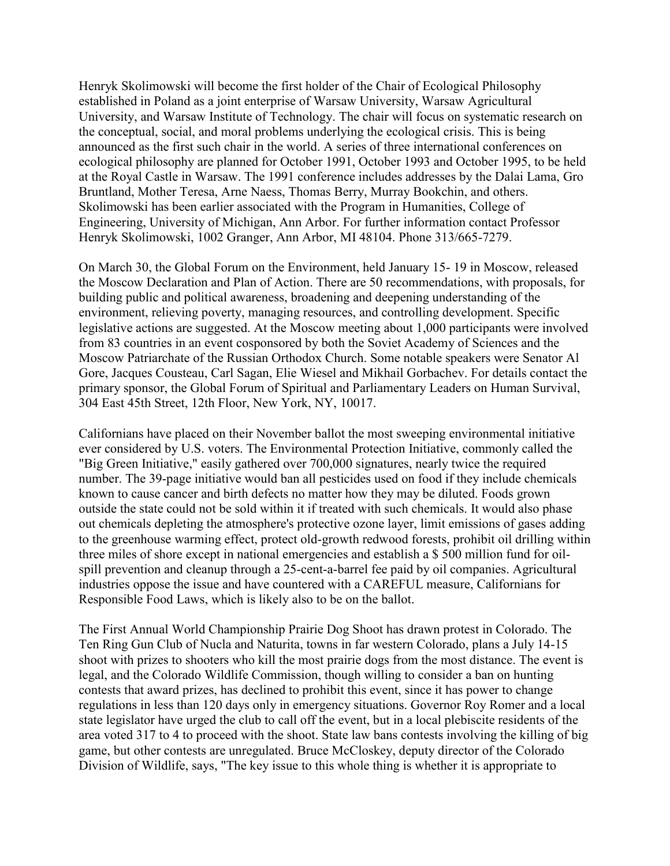Henryk Skolimowski will become the first holder of the Chair of Ecological Philosophy established in Poland as a joint enterprise of Warsaw University, Warsaw Agricultural University, and Warsaw Institute of Technology. The chair will focus on systematic research on the conceptual, social, and moral problems underlying the ecological crisis. This is being announced as the first such chair in the world. A series of three international conferences on ecological philosophy are planned for October 1991, October 1993 and October 1995, to be held at the Royal Castle in Warsaw. The 1991 conference includes addresses by the Dalai Lama, Gro Bruntland, Mother Teresa, Arne Naess, Thomas Berry, Murray Bookchin, and others. Skolimowski has been earlier associated with the Program in Humanities, College of Engineering, University of Michigan, Ann Arbor. For further information contact Professor Henryk Skolimowski, 1002 Granger, Ann Arbor, MI 48104. Phone 313/665-7279.

On March 30, the Global Forum on the Environment, held January 15- 19 in Moscow, released the Moscow Declaration and Plan of Action. There are 50 recommendations, with proposals, for building public and political awareness, broadening and deepening understanding of the environment, relieving poverty, managing resources, and controlling development. Specific legislative actions are suggested. At the Moscow meeting about 1,000 participants were involved from 83 countries in an event cosponsored by both the Soviet Academy of Sciences and the Moscow Patriarchate of the Russian Orthodox Church. Some notable speakers were Senator Al Gore, Jacques Cousteau, Carl Sagan, Elie Wiesel and Mikhail Gorbachev. For details contact the primary sponsor, the Global Forum of Spiritual and Parliamentary Leaders on Human Survival, 304 East 45th Street, 12th Floor, New York, NY, 10017.

Californians have placed on their November ballot the most sweeping environmental initiative ever considered by U.S. voters. The Environmental Protection Initiative, commonly called the "Big Green Initiative," easily gathered over 700,000 signatures, nearly twice the required number. The 39-page initiative would ban all pesticides used on food if they include chemicals known to cause cancer and birth defects no matter how they may be diluted. Foods grown outside the state could not be sold within it if treated with such chemicals. It would also phase out chemicals depleting the atmosphere's protective ozone layer, limit emissions of gases adding to the greenhouse warming effect, protect old-growth redwood forests, prohibit oil drilling within three miles of shore except in national emergencies and establish a \$ 500 million fund for oilspill prevention and cleanup through a 25-cent-a-barrel fee paid by oil companies. Agricultural industries oppose the issue and have countered with a CAREFUL measure, Californians for Responsible Food Laws, which is likely also to be on the ballot.

The First Annual World Championship Prairie Dog Shoot has drawn protest in Colorado. The Ten Ring Gun Club of Nucla and Naturita, towns in far western Colorado, plans a July 14-15 shoot with prizes to shooters who kill the most prairie dogs from the most distance. The event is legal, and the Colorado Wildlife Commission, though willing to consider a ban on hunting contests that award prizes, has declined to prohibit this event, since it has power to change regulations in less than 120 days only in emergency situations. Governor Roy Romer and a local state legislator have urged the club to call off the event, but in a local plebiscite residents of the area voted 317 to 4 to proceed with the shoot. State law bans contests involving the killing of big game, but other contests are unregulated. Bruce McCloskey, deputy director of the Colorado Division of Wildlife, says, "The key issue to this whole thing is whether it is appropriate to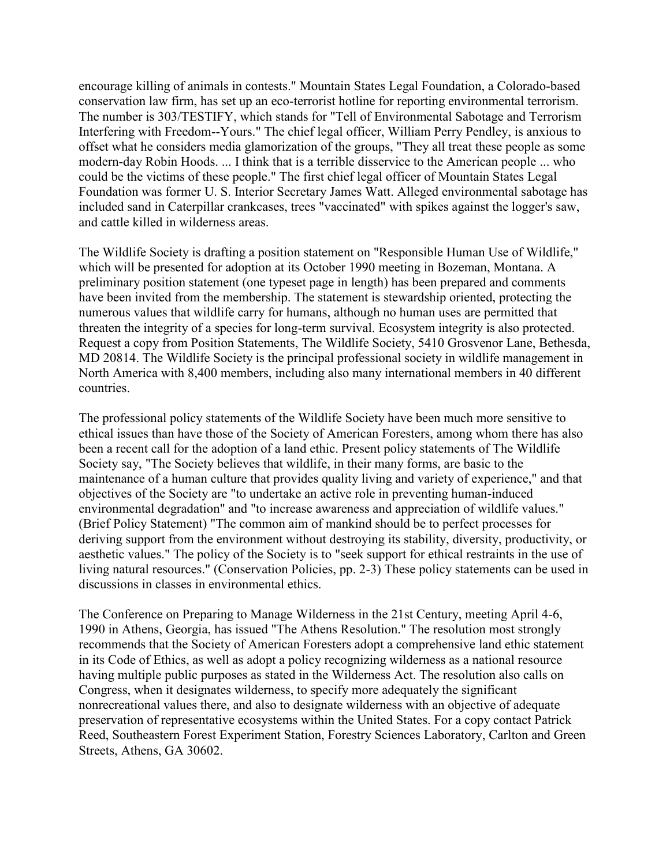encourage killing of animals in contests." Mountain States Legal Foundation, a Colorado-based conservation law firm, has set up an eco-terrorist hotline for reporting environmental terrorism. The number is 303/TESTIFY, which stands for "Tell of Environmental Sabotage and Terrorism Interfering with Freedom--Yours." The chief legal officer, William Perry Pendley, is anxious to offset what he considers media glamorization of the groups, "They all treat these people as some modern-day Robin Hoods. ... I think that is a terrible disservice to the American people ... who could be the victims of these people." The first chief legal officer of Mountain States Legal Foundation was former U. S. Interior Secretary James Watt. Alleged environmental sabotage has included sand in Caterpillar crankcases, trees "vaccinated" with spikes against the logger's saw, and cattle killed in wilderness areas.

The Wildlife Society is drafting a position statement on "Responsible Human Use of Wildlife," which will be presented for adoption at its October 1990 meeting in Bozeman, Montana. A preliminary position statement (one typeset page in length) has been prepared and comments have been invited from the membership. The statement is stewardship oriented, protecting the numerous values that wildlife carry for humans, although no human uses are permitted that threaten the integrity of a species for long-term survival. Ecosystem integrity is also protected. Request a copy from Position Statements, The Wildlife Society, 5410 Grosvenor Lane, Bethesda, MD 20814. The Wildlife Society is the principal professional society in wildlife management in North America with 8,400 members, including also many international members in 40 different countries.

The professional policy statements of the Wildlife Society have been much more sensitive to ethical issues than have those of the Society of American Foresters, among whom there has also been a recent call for the adoption of a land ethic. Present policy statements of The Wildlife Society say, "The Society believes that wildlife, in their many forms, are basic to the maintenance of a human culture that provides quality living and variety of experience," and that objectives of the Society are "to undertake an active role in preventing human-induced environmental degradation" and "to increase awareness and appreciation of wildlife values." (Brief Policy Statement) "The common aim of mankind should be to perfect processes for deriving support from the environment without destroying its stability, diversity, productivity, or aesthetic values." The policy of the Society is to "seek support for ethical restraints in the use of living natural resources." (Conservation Policies, pp. 2-3) These policy statements can be used in discussions in classes in environmental ethics.

The Conference on Preparing to Manage Wilderness in the 21st Century, meeting April 4-6, 1990 in Athens, Georgia, has issued "The Athens Resolution." The resolution most strongly recommends that the Society of American Foresters adopt a comprehensive land ethic statement in its Code of Ethics, as well as adopt a policy recognizing wilderness as a national resource having multiple public purposes as stated in the Wilderness Act. The resolution also calls on Congress, when it designates wilderness, to specify more adequately the significant nonrecreational values there, and also to designate wilderness with an objective of adequate preservation of representative ecosystems within the United States. For a copy contact Patrick Reed, Southeastern Forest Experiment Station, Forestry Sciences Laboratory, Carlton and Green Streets, Athens, GA 30602.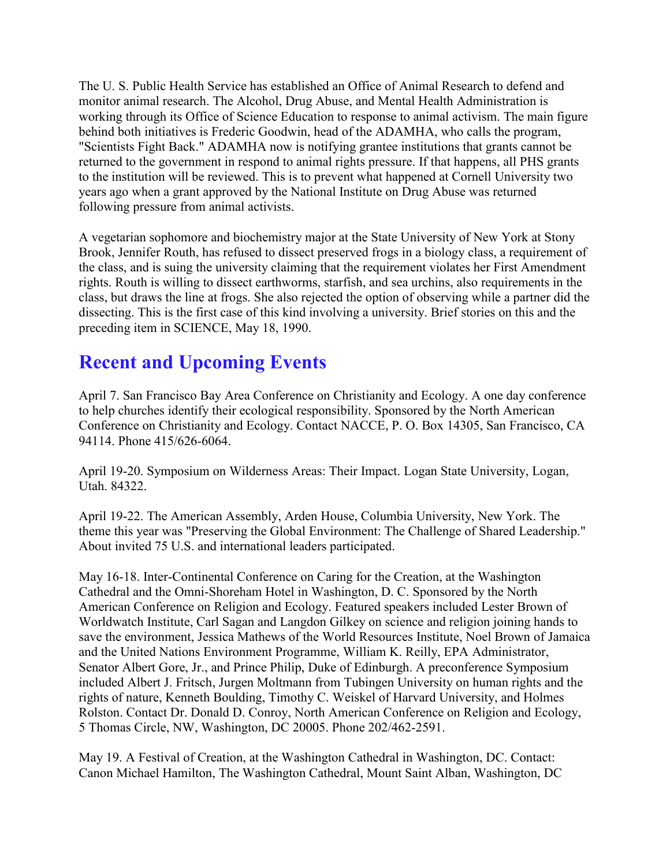The U. S. Public Health Service has established an Office of Animal Research to defend and monitor animal research. The Alcohol, Drug Abuse, and Mental Health Administration is working through its Office of Science Education to response to animal activism. The main figure behind both initiatives is Frederic Goodwin, head of the ADAMHA, who calls the program, "Scientists Fight Back." ADAMHA now is notifying grantee institutions that grants cannot be returned to the government in respond to animal rights pressure. If that happens, all PHS grants to the institution will be reviewed. This is to prevent what happened at Cornell University two years ago when a grant approved by the National Institute on Drug Abuse was returned following pressure from animal activists.

A vegetarian sophomore and biochemistry major at the State University of New York at Stony Brook, Jennifer Routh, has refused to dissect preserved frogs in a biology class, a requirement of the class, and is suing the university claiming that the requirement violates her First Amendment rights. Routh is willing to dissect earthworms, starfish, and sea urchins, also requirements in the class, but draws the line at frogs. She also rejected the option of observing while a partner did the dissecting. This is the first case of this kind involving a university. Brief stories on this and the preceding item in SCIENCE, May 18, 1990.

## **Recent and Upcoming Events**

April 7. San Francisco Bay Area Conference on Christianity and Ecology. A one day conference to help churches identify their ecological responsibility. Sponsored by the North American Conference on Christianity and Ecology. Contact NACCE, P. O. Box 14305, San Francisco, CA 94114. Phone 415/626-6064.

April 19-20. Symposium on Wilderness Areas: Their Impact. Logan State University, Logan, Utah. 84322.

April 19-22. The American Assembly, Arden House, Columbia University, New York. The theme this year was "Preserving the Global Environment: The Challenge of Shared Leadership." About invited 75 U.S. and international leaders participated.

May 16-18. Inter-Continental Conference on Caring for the Creation, at the Washington Cathedral and the Omni-Shoreham Hotel in Washington, D. C. Sponsored by the North American Conference on Religion and Ecology. Featured speakers included Lester Brown of Worldwatch Institute, Carl Sagan and Langdon Gilkey on science and religion joining hands to save the environment, Jessica Mathews of the World Resources Institute, Noel Brown of Jamaica and the United Nations Environment Programme, William K. Reilly, EPA Administrator, Senator Albert Gore, Jr., and Prince Philip, Duke of Edinburgh. A preconference Symposium included Albert J. Fritsch, Jurgen Moltmann from Tubingen University on human rights and the rights of nature, Kenneth Boulding, Timothy C. Weiskel of Harvard University, and Holmes Rolston. Contact Dr. Donald D. Conroy, North American Conference on Religion and Ecology, 5 Thomas Circle, NW, Washington, DC 20005. Phone 202/462-2591.

May 19. A Festival of Creation, at the Washington Cathedral in Washington, DC. Contact: Canon Michael Hamilton, The Washington Cathedral, Mount Saint Alban, Washington, DC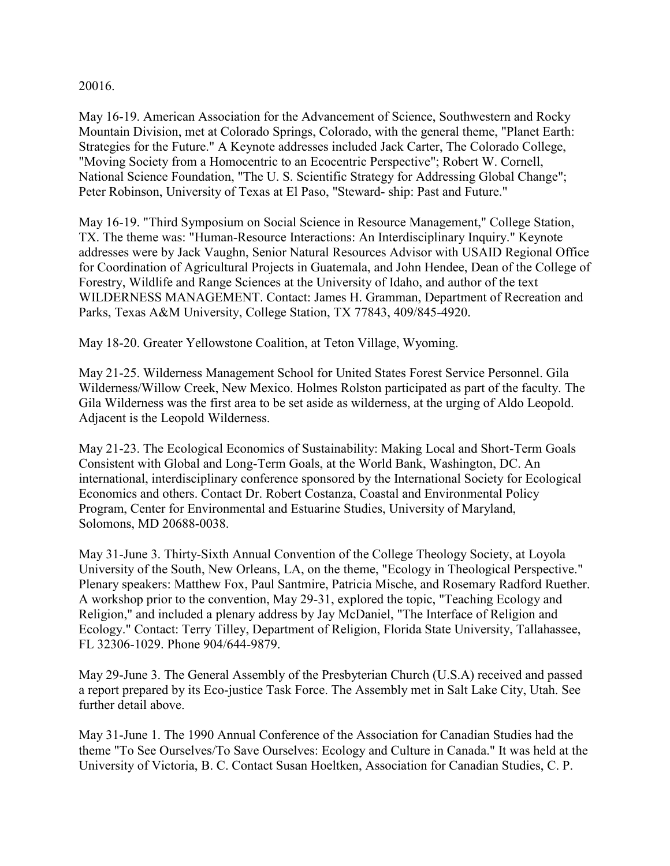20016.

May 16-19. American Association for the Advancement of Science, Southwestern and Rocky Mountain Division, met at Colorado Springs, Colorado, with the general theme, "Planet Earth: Strategies for the Future." A Keynote addresses included Jack Carter, The Colorado College, "Moving Society from a Homocentric to an Ecocentric Perspective"; Robert W. Cornell, National Science Foundation, "The U. S. Scientific Strategy for Addressing Global Change"; Peter Robinson, University of Texas at El Paso, "Steward- ship: Past and Future."

May 16-19. "Third Symposium on Social Science in Resource Management," College Station, TX. The theme was: "Human-Resource Interactions: An Interdisciplinary Inquiry." Keynote addresses were by Jack Vaughn, Senior Natural Resources Advisor with USAID Regional Office for Coordination of Agricultural Projects in Guatemala, and John Hendee, Dean of the College of Forestry, Wildlife and Range Sciences at the University of Idaho, and author of the text WILDERNESS MANAGEMENT. Contact: James H. Gramman, Department of Recreation and Parks, Texas A&M University, College Station, TX 77843, 409/845-4920.

May 18-20. Greater Yellowstone Coalition, at Teton Village, Wyoming.

May 21-25. Wilderness Management School for United States Forest Service Personnel. Gila Wilderness/Willow Creek, New Mexico. Holmes Rolston participated as part of the faculty. The Gila Wilderness was the first area to be set aside as wilderness, at the urging of Aldo Leopold. Adjacent is the Leopold Wilderness.

May 21-23. The Ecological Economics of Sustainability: Making Local and Short-Term Goals Consistent with Global and Long-Term Goals, at the World Bank, Washington, DC. An international, interdisciplinary conference sponsored by the International Society for Ecological Economics and others. Contact Dr. Robert Costanza, Coastal and Environmental Policy Program, Center for Environmental and Estuarine Studies, University of Maryland, Solomons, MD 20688-0038.

May 31-June 3. Thirty-Sixth Annual Convention of the College Theology Society, at Loyola University of the South, New Orleans, LA, on the theme, "Ecology in Theological Perspective." Plenary speakers: Matthew Fox, Paul Santmire, Patricia Mische, and Rosemary Radford Ruether. A workshop prior to the convention, May 29-31, explored the topic, "Teaching Ecology and Religion," and included a plenary address by Jay McDaniel, "The Interface of Religion and Ecology." Contact: Terry Tilley, Department of Religion, Florida State University, Tallahassee, FL 32306-1029. Phone 904/644-9879.

May 29-June 3. The General Assembly of the Presbyterian Church (U.S.A) received and passed a report prepared by its Eco-justice Task Force. The Assembly met in Salt Lake City, Utah. See further detail above.

May 31-June 1. The 1990 Annual Conference of the Association for Canadian Studies had the theme "To See Ourselves/To Save Ourselves: Ecology and Culture in Canada." It was held at the University of Victoria, B. C. Contact Susan Hoeltken, Association for Canadian Studies, C. P.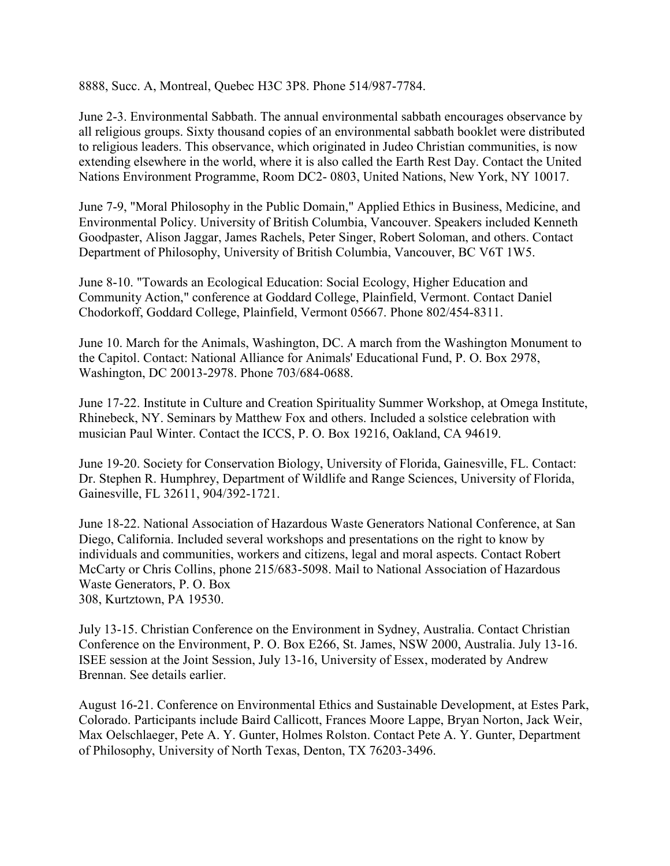8888, Succ. A, Montreal, Quebec H3C 3P8. Phone 514/987-7784.

June 2-3. Environmental Sabbath. The annual environmental sabbath encourages observance by all religious groups. Sixty thousand copies of an environmental sabbath booklet were distributed to religious leaders. This observance, which originated in Judeo Christian communities, is now extending elsewhere in the world, where it is also called the Earth Rest Day. Contact the United Nations Environment Programme, Room DC2- 0803, United Nations, New York, NY 10017.

June 7-9, "Moral Philosophy in the Public Domain," Applied Ethics in Business, Medicine, and Environmental Policy. University of British Columbia, Vancouver. Speakers included Kenneth Goodpaster, Alison Jaggar, James Rachels, Peter Singer, Robert Soloman, and others. Contact Department of Philosophy, University of British Columbia, Vancouver, BC V6T 1W5.

June 8-10. "Towards an Ecological Education: Social Ecology, Higher Education and Community Action," conference at Goddard College, Plainfield, Vermont. Contact Daniel Chodorkoff, Goddard College, Plainfield, Vermont 05667. Phone 802/454-8311.

June 10. March for the Animals, Washington, DC. A march from the Washington Monument to the Capitol. Contact: National Alliance for Animals' Educational Fund, P. O. Box 2978, Washington, DC 20013-2978. Phone 703/684-0688.

June 17-22. Institute in Culture and Creation Spirituality Summer Workshop, at Omega Institute, Rhinebeck, NY. Seminars by Matthew Fox and others. Included a solstice celebration with musician Paul Winter. Contact the ICCS, P. O. Box 19216, Oakland, CA 94619.

June 19-20. Society for Conservation Biology, University of Florida, Gainesville, FL. Contact: Dr. Stephen R. Humphrey, Department of Wildlife and Range Sciences, University of Florida, Gainesville, FL 32611, 904/392-1721.

June 18-22. National Association of Hazardous Waste Generators National Conference, at San Diego, California. Included several workshops and presentations on the right to know by individuals and communities, workers and citizens, legal and moral aspects. Contact Robert McCarty or Chris Collins, phone 215/683-5098. Mail to National Association of Hazardous Waste Generators, P. O. Box 308, Kurtztown, PA 19530.

July 13-15. Christian Conference on the Environment in Sydney, Australia. Contact Christian Conference on the Environment, P. O. Box E266, St. James, NSW 2000, Australia. July 13-16. ISEE session at the Joint Session, July 13-16, University of Essex, moderated by Andrew Brennan. See details earlier.

August 16-21. Conference on Environmental Ethics and Sustainable Development, at Estes Park, Colorado. Participants include Baird Callicott, Frances Moore Lappe, Bryan Norton, Jack Weir, Max Oelschlaeger, Pete A. Y. Gunter, Holmes Rolston. Contact Pete A. Y. Gunter, Department of Philosophy, University of North Texas, Denton, TX 76203-3496.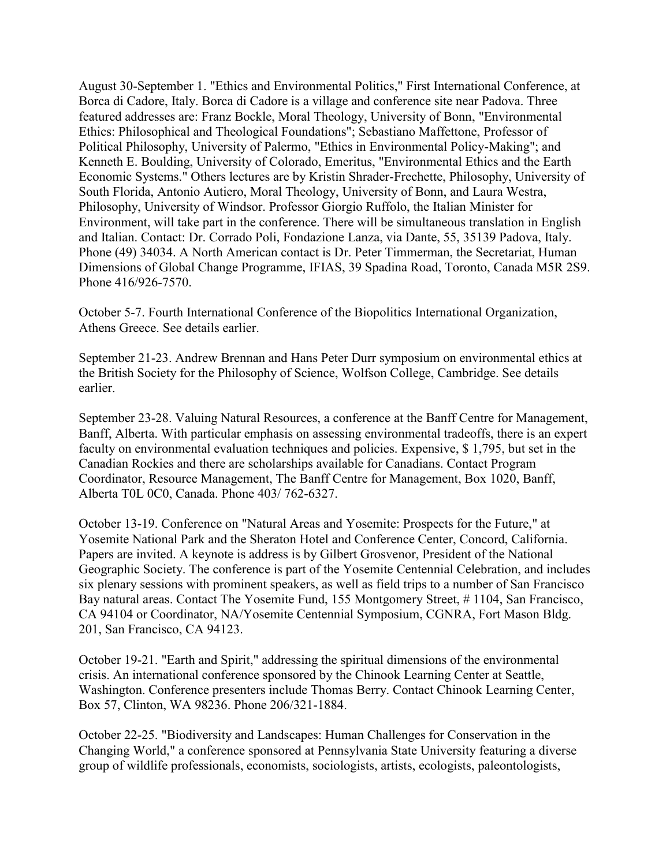August 30-September 1. "Ethics and Environmental Politics," First International Conference, at Borca di Cadore, Italy. Borca di Cadore is a village and conference site near Padova. Three featured addresses are: Franz Bockle, Moral Theology, University of Bonn, "Environmental Ethics: Philosophical and Theological Foundations"; Sebastiano Maffettone, Professor of Political Philosophy, University of Palermo, "Ethics in Environmental Policy-Making"; and Kenneth E. Boulding, University of Colorado, Emeritus, "Environmental Ethics and the Earth Economic Systems." Others lectures are by Kristin Shrader-Frechette, Philosophy, University of South Florida, Antonio Autiero, Moral Theology, University of Bonn, and Laura Westra, Philosophy, University of Windsor. Professor Giorgio Ruffolo, the Italian Minister for Environment, will take part in the conference. There will be simultaneous translation in English and Italian. Contact: Dr. Corrado Poli, Fondazione Lanza, via Dante, 55, 35139 Padova, Italy. Phone (49) 34034. A North American contact is Dr. Peter Timmerman, the Secretariat, Human Dimensions of Global Change Programme, IFIAS, 39 Spadina Road, Toronto, Canada M5R 2S9. Phone 416/926-7570.

October 5-7. Fourth International Conference of the Biopolitics International Organization, Athens Greece. See details earlier.

September 21-23. Andrew Brennan and Hans Peter Durr symposium on environmental ethics at the British Society for the Philosophy of Science, Wolfson College, Cambridge. See details earlier.

September 23-28. Valuing Natural Resources, a conference at the Banff Centre for Management, Banff, Alberta. With particular emphasis on assessing environmental tradeoffs, there is an expert faculty on environmental evaluation techniques and policies. Expensive, \$ 1,795, but set in the Canadian Rockies and there are scholarships available for Canadians. Contact Program Coordinator, Resource Management, The Banff Centre for Management, Box 1020, Banff, Alberta T0L 0C0, Canada. Phone 403/ 762-6327.

October 13-19. Conference on "Natural Areas and Yosemite: Prospects for the Future," at Yosemite National Park and the Sheraton Hotel and Conference Center, Concord, California. Papers are invited. A keynote is address is by Gilbert Grosvenor, President of the National Geographic Society. The conference is part of the Yosemite Centennial Celebration, and includes six plenary sessions with prominent speakers, as well as field trips to a number of San Francisco Bay natural areas. Contact The Yosemite Fund, 155 Montgomery Street, #1104, San Francisco, CA 94104 or Coordinator, NA/Yosemite Centennial Symposium, CGNRA, Fort Mason Bldg. 201, San Francisco, CA 94123.

October 19-21. "Earth and Spirit," addressing the spiritual dimensions of the environmental crisis. An international conference sponsored by the Chinook Learning Center at Seattle, Washington. Conference presenters include Thomas Berry. Contact Chinook Learning Center, Box 57, Clinton, WA 98236. Phone 206/321-1884.

October 22-25. "Biodiversity and Landscapes: Human Challenges for Conservation in the Changing World," a conference sponsored at Pennsylvania State University featuring a diverse group of wildlife professionals, economists, sociologists, artists, ecologists, paleontologists,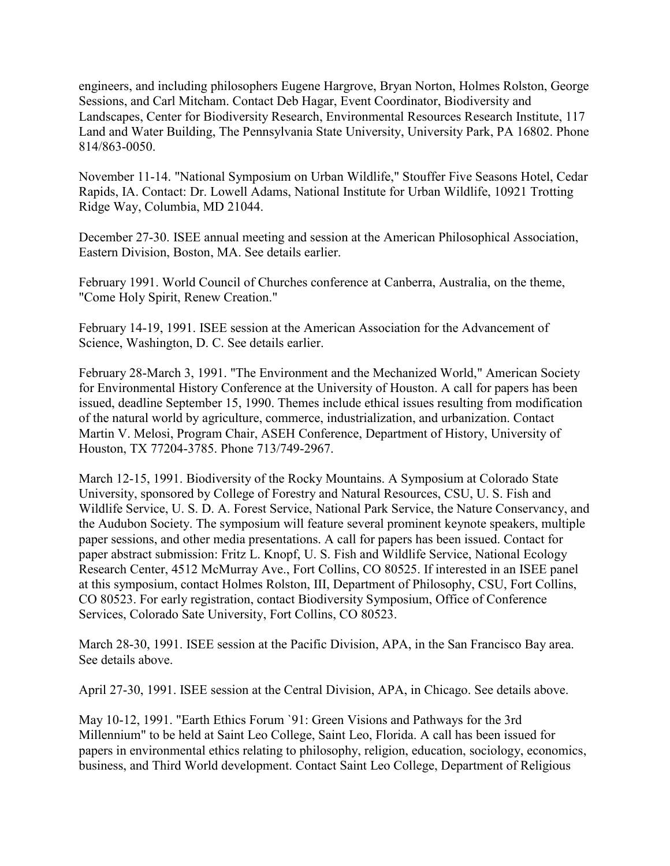engineers, and including philosophers Eugene Hargrove, Bryan Norton, Holmes Rolston, George Sessions, and Carl Mitcham. Contact Deb Hagar, Event Coordinator, Biodiversity and Landscapes, Center for Biodiversity Research, Environmental Resources Research Institute, 117 Land and Water Building, The Pennsylvania State University, University Park, PA 16802. Phone 814/863-0050.

November 11-14. "National Symposium on Urban Wildlife," Stouffer Five Seasons Hotel, Cedar Rapids, IA. Contact: Dr. Lowell Adams, National Institute for Urban Wildlife, 10921 Trotting Ridge Way, Columbia, MD 21044.

December 27-30. ISEE annual meeting and session at the American Philosophical Association, Eastern Division, Boston, MA. See details earlier.

February 1991. World Council of Churches conference at Canberra, Australia, on the theme, "Come Holy Spirit, Renew Creation."

February 14-19, 1991. ISEE session at the American Association for the Advancement of Science, Washington, D. C. See details earlier.

February 28-March 3, 1991. "The Environment and the Mechanized World," American Society for Environmental History Conference at the University of Houston. A call for papers has been issued, deadline September 15, 1990. Themes include ethical issues resulting from modification of the natural world by agriculture, commerce, industrialization, and urbanization. Contact Martin V. Melosi, Program Chair, ASEH Conference, Department of History, University of Houston, TX 77204-3785. Phone 713/749-2967.

March 12-15, 1991. Biodiversity of the Rocky Mountains. A Symposium at Colorado State University, sponsored by College of Forestry and Natural Resources, CSU, U. S. Fish and Wildlife Service, U. S. D. A. Forest Service, National Park Service, the Nature Conservancy, and the Audubon Society. The symposium will feature several prominent keynote speakers, multiple paper sessions, and other media presentations. A call for papers has been issued. Contact for paper abstract submission: Fritz L. Knopf, U. S. Fish and Wildlife Service, National Ecology Research Center, 4512 McMurray Ave., Fort Collins, CO 80525. If interested in an ISEE panel at this symposium, contact Holmes Rolston, III, Department of Philosophy, CSU, Fort Collins, CO 80523. For early registration, contact Biodiversity Symposium, Office of Conference Services, Colorado Sate University, Fort Collins, CO 80523.

March 28-30, 1991. ISEE session at the Pacific Division, APA, in the San Francisco Bay area. See details above.

April 27-30, 1991. ISEE session at the Central Division, APA, in Chicago. See details above.

May 10-12, 1991. "Earth Ethics Forum `91: Green Visions and Pathways for the 3rd Millennium" to be held at Saint Leo College, Saint Leo, Florida. A call has been issued for papers in environmental ethics relating to philosophy, religion, education, sociology, economics, business, and Third World development. Contact Saint Leo College, Department of Religious